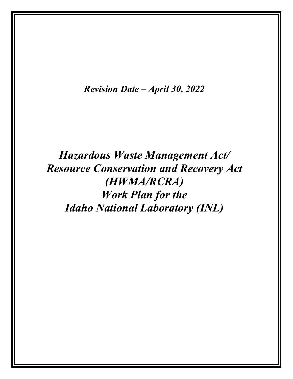*Revision Date – April 30, 2022*

# *Hazardous Waste Management Act/ Resource Conservation and Recovery Act (HWMA/RCRA) Work Plan for the Idaho National Laboratory (INL)*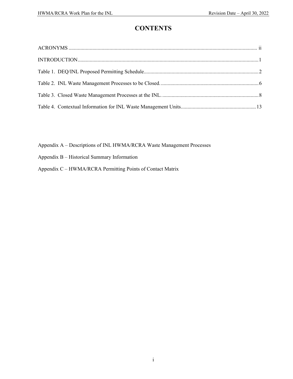# **CONTENTS**

Appendix A – Descriptions of INL HWMA/RCRA Waste Management Processes

- Appendix B Historical Summary Information
- Appendix C HWMA/RCRA Permitting Points of Contact Matrix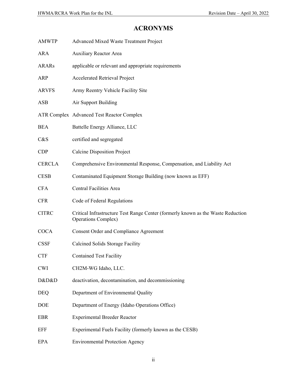| <b>AMWTP</b>  | Advanced Mixed Waste Treatment Project                                                                         |
|---------------|----------------------------------------------------------------------------------------------------------------|
| ARA           | <b>Auxiliary Reactor Area</b>                                                                                  |
| <b>ARARs</b>  | applicable or relevant and appropriate requirements                                                            |
| ARP           | <b>Accelerated Retrieval Project</b>                                                                           |
| <b>ARVFS</b>  | Army Reentry Vehicle Facility Site                                                                             |
| ASB           | Air Support Building                                                                                           |
|               | <b>ATR Complex Advanced Test Reactor Complex</b>                                                               |
| <b>BEA</b>    | Battelle Energy Alliance, LLC                                                                                  |
| C&S           | certified and segregated                                                                                       |
| CDP           | <b>Calcine Disposition Project</b>                                                                             |
| <b>CERCLA</b> | Comprehensive Environmental Response, Compensation, and Liability Act                                          |
| <b>CESB</b>   | Contaminated Equipment Storage Building (now known as EFF)                                                     |
| <b>CFA</b>    | <b>Central Facilities Area</b>                                                                                 |
| <b>CFR</b>    | Code of Federal Regulations                                                                                    |
| <b>CITRC</b>  | Critical Infrastructure Test Range Center (formerly known as the Waste Reduction<br><b>Operations Complex)</b> |
| <b>COCA</b>   | <b>Consent Order and Compliance Agreement</b>                                                                  |
| <b>CSSF</b>   | Calcined Solids Storage Facility                                                                               |
| <b>CTF</b>    | <b>Contained Test Facility</b>                                                                                 |
| <b>CWI</b>    | CH2M-WG Idaho, LLC.                                                                                            |
| D&D&D         | deactivation, decontamination, and decommissioning                                                             |
| <b>DEQ</b>    | Department of Environmental Quality                                                                            |
| DOE           | Department of Energy (Idaho Operations Office)                                                                 |
| EBR           | <b>Experimental Breeder Reactor</b>                                                                            |
| <b>EFF</b>    | Experimental Fuels Facility (formerly known as the CESB)                                                       |
| <b>EPA</b>    | <b>Environmental Protection Agency</b>                                                                         |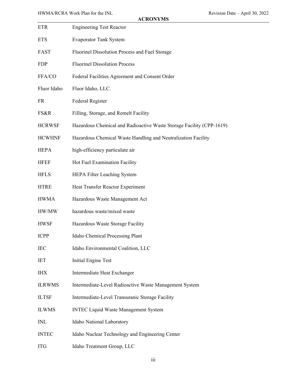| ETR           | <b>Engineering Test Reactor</b>                                      |
|---------------|----------------------------------------------------------------------|
| <b>ETS</b>    | <b>Evaporator Tank System</b>                                        |
| FAST          | Fluorinel Dissolution Process and Fuel Storage                       |
| <b>FDP</b>    | <b>Fluorinel Dissolution Process</b>                                 |
| FFA/CO        | Federal Facilities Agreement and Consent Order                       |
| Fluor Idaho   | Fluor Idaho, LLC.                                                    |
| <b>FR</b>     | Federal Register                                                     |
| FS&R          | Filling, Storage, and Remelt Facility                                |
| <b>HCRWSF</b> | Hazardous Chemical and Radioactive Waste Storage Facility (CPP-1619) |
| <b>HCWHNF</b> | Hazardous Chemical Waste Handling and Neutralization Facility        |
| <b>HEPA</b>   | high-efficiency particulate air                                      |
| <b>HFEF</b>   | Hot Fuel Examination Facility                                        |
| <b>HFLS</b>   | HEPA Filter Leaching System                                          |
| <b>HTRE</b>   | Heat Transfer Reactor Experiment                                     |
| <b>HWMA</b>   | Hazardous Waste Management Act                                       |
| HW/MW         | hazardous waste/mixed waste                                          |
| <b>HWSF</b>   | Hazardous Waste Storage Facility                                     |
| <b>ICPP</b>   | Idaho Chemical Processing Plant                                      |
| <b>IEC</b>    | Idaho Environmental Coalition, LLC                                   |
| IET           | <b>Initial Engine Test</b>                                           |
| <b>IHX</b>    | Intermediate Heat Exchanger                                          |
| <b>ILRWMS</b> | Intermediate-Level Radioactive Waste Management System               |
| <b>ILTSF</b>  | Intermediate-Level Transuranic Storage Facility                      |
| <b>ILWMS</b>  | <b>INTEC Liquid Waste Management System</b>                          |
| <b>INL</b>    | Idaho National Laboratory                                            |
| <b>INTEC</b>  | Idaho Nuclear Technology and Engineering Center                      |
| <b>ITG</b>    | Idaho Treatment Group, LLC                                           |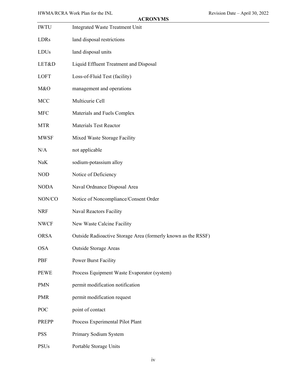| <b>IWTU</b> | <b>Integrated Waste Treatment Unit</b>                        |
|-------------|---------------------------------------------------------------|
| LDRs        | land disposal restrictions                                    |
| LDUs        | land disposal units                                           |
| LET&D       | Liquid Effluent Treatment and Disposal                        |
| <b>LOFT</b> | Loss-of-Fluid Test (facility)                                 |
| M&O         | management and operations                                     |
| <b>MCC</b>  | Multicurie Cell                                               |
| <b>MFC</b>  | Materials and Fuels Complex                                   |
| <b>MTR</b>  | <b>Materials Test Reactor</b>                                 |
| <b>MWSF</b> | Mixed Waste Storage Facility                                  |
| N/A         | not applicable                                                |
| NaK         | sodium-potassium alloy                                        |
| <b>NOD</b>  | Notice of Deficiency                                          |
| <b>NODA</b> | Naval Ordnance Disposal Area                                  |
| NON/CO      | Notice of Noncompliance/Consent Order                         |
| <b>NRF</b>  | <b>Naval Reactors Facility</b>                                |
| <b>NWCF</b> | New Waste Calcine Facility                                    |
| <b>ORSA</b> | Outside Radioactive Storage Area (formerly known as the RSSF) |
| <b>OSA</b>  | <b>Outside Storage Areas</b>                                  |
| PBF         | Power Burst Facility                                          |
| <b>PEWE</b> | Process Equipment Waste Evaporator (system)                   |
| <b>PMN</b>  | permit modification notification                              |
| <b>PMR</b>  | permit modification request                                   |
| POC         | point of contact                                              |
| PREPP       | Process Experimental Pilot Plant                              |
| <b>PSS</b>  | Primary Sodium System                                         |
| <b>PSUs</b> | Portable Storage Units                                        |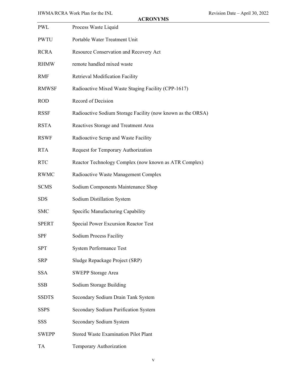| <b>PWL</b>   | Process Waste Liquid                                        |
|--------------|-------------------------------------------------------------|
| <b>PWTU</b>  | Portable Water Treatment Unit                               |
| <b>RCRA</b>  | Resource Conservation and Recovery Act                      |
| <b>RHMW</b>  | remote handled mixed waste                                  |
| <b>RMF</b>   | Retrieval Modification Facility                             |
| <b>RMWSF</b> | Radioactive Mixed Waste Staging Facility (CPP-1617)         |
| <b>ROD</b>   | Record of Decision                                          |
| <b>RSSF</b>  | Radioactive Sodium Storage Facility (now known as the ORSA) |
| <b>RSTA</b>  | Reactives Storage and Treatment Area                        |
| <b>RSWF</b>  | Radioactive Scrap and Waste Facility                        |
| <b>RTA</b>   | Request for Temporary Authorization                         |
| <b>RTC</b>   | Reactor Technology Complex (now known as ATR Complex)       |
| <b>RWMC</b>  | Radioactive Waste Management Complex                        |
| <b>SCMS</b>  | Sodium Components Maintenance Shop                          |
| <b>SDS</b>   | Sodium Distillation System                                  |
| <b>SMC</b>   | Specific Manufacturing Capability                           |
| <b>SPERT</b> | <b>Special Power Excursion Reactor Test</b>                 |
| <b>SPF</b>   | <b>Sodium Process Facility</b>                              |
| <b>SPT</b>   | <b>System Performance Test</b>                              |
| <b>SRP</b>   | Sludge Repackage Project (SRP)                              |
| <b>SSA</b>   | <b>SWEPP Storage Area</b>                                   |
| <b>SSB</b>   | Sodium Storage Building                                     |
| <b>SSDTS</b> | Secondary Sodium Drain Tank System                          |
| <b>SSPS</b>  | Secondary Sodium Purification System                        |
| <b>SSS</b>   | Secondary Sodium System                                     |
| <b>SWEPP</b> | <b>Stored Waste Examination Pilot Plant</b>                 |
| TA           | Temporary Authorization                                     |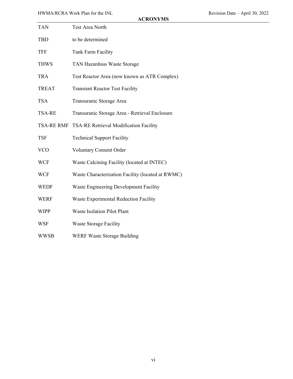| <b>TAN</b>    | Test Area North                                   |
|---------------|---------------------------------------------------|
| TBD           | to be determined                                  |
| <b>TFF</b>    | Tank Farm Facility                                |
| <b>THWS</b>   | TAN Hazardous Waste Storage                       |
| <b>TRA</b>    | Test Reactor Area (now known as ATR Complex)      |
| <b>TREAT</b>  | <b>Transient Reactor Test Facility</b>            |
| <b>TSA</b>    | Transuranic Storage Area                          |
| <b>TSA-RE</b> | Transuranic Storage Area - Retrieval Enclosure    |
|               | TSA-RE RMF TSA-RE Retrieval Modification Facility |
| TSF           | <b>Technical Support Facility</b>                 |
| <b>VCO</b>    | <b>Voluntary Consent Order</b>                    |
| <b>WCF</b>    | Waste Calcining Facility (located at INTEC)       |
| <b>WCF</b>    | Waste Characterization Facility (located at RWMC) |
| <b>WEDF</b>   | Waste Engineering Development Facility            |
| <b>WERF</b>   | Waste Experimental Reduction Facility             |
| <b>WIPP</b>   | <b>Waste Isolation Pilot Plant</b>                |
| WSF           | <b>Waste Storage Facility</b>                     |
| <b>WWSB</b>   | WERF Waste Storage Building                       |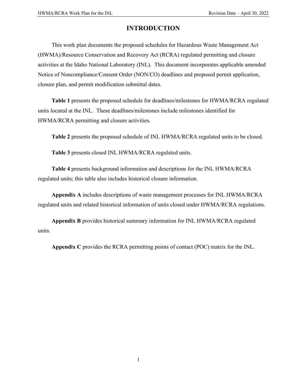# **INTRODUCTION**

This work plan documents the proposed schedules for Hazardous Waste Management Act (HWMA)/Resource Conservation and Recovery Act (RCRA) regulated permitting and closure activities at the Idaho National Laboratory (INL). This document incorporates applicable amended Notice of Noncompliance/Consent Order (NON/CO) deadlines and proposed permit application, closure plan, and permit modification submittal dates.

**Table 1** presents the proposed schedule for deadlines/milestones for HWMA/RCRA regulated units located at the INL. These deadlines/milestones include milestones identified for HWMA/RCRA permitting and closure activities.

**Table 2** presents the proposed schedule of INL HWMA/RCRA regulated units to be closed.

**Table 3** presents closed INL HWMA/RCRA regulated units.

**Table 4** presents background information and descriptions for the INL HWMA/RCRA regulated units; this table also includes historical closure information.

**Appendix A** includes descriptions of waste management processes for INL HWMA/RCRA regulated units and related historical information of units closed under HWMA/RCRA regulations.

**Appendix B** provides historical summary information for INL HWMA/RCRA regulated units.

**Appendix C** provides the RCRA permitting points of contact (POC) matrix for the INL.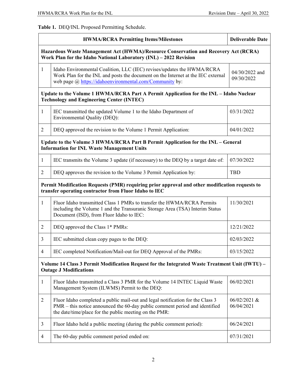**Table 1.** DEQ/INL Proposed Permitting Schedule.

|                                                                                                                                                          | <b>HWMA/RCRA Permitting Items/Milestones</b>                                                                                                                                                                            | <b>Deliverable Date</b>      |
|----------------------------------------------------------------------------------------------------------------------------------------------------------|-------------------------------------------------------------------------------------------------------------------------------------------------------------------------------------------------------------------------|------------------------------|
| Hazardous Waste Management Act (HWMA)/Resource Conservation and Recovery Act (RCRA)<br>Work Plan for the Idaho National Laboratory (INL) - 2022 Revision |                                                                                                                                                                                                                         |                              |
| $\mathbf{1}$                                                                                                                                             | Idaho Environmental Coalition, LLC (IEC) revises/updates the HWMA/RCRA<br>Work Plan for the INL and posts the document on the Internet at the IEC external<br>web page @ https://idahoenvironmental.com/Community by:   | 04/30/2022 and<br>09/30/2022 |
|                                                                                                                                                          | Update to the Volume 1 HWMA/RCRA Part A Permit Application for the INL – Idaho Nuclear<br><b>Technology and Engineering Center (INTEC)</b>                                                                              |                              |
| 1                                                                                                                                                        | IEC transmitted the updated Volume 1 to the Idaho Department of<br><b>Environmental Quality (DEQ):</b>                                                                                                                  | 03/31/2022                   |
| 2                                                                                                                                                        | DEQ approved the revision to the Volume 1 Permit Application:                                                                                                                                                           | 04/01/2022                   |
|                                                                                                                                                          | Update to the Volume 3 HWMA/RCRA Part B Permit Application for the INL - General<br><b>Information for INL Waste Management Units</b>                                                                                   |                              |
| 1                                                                                                                                                        | IEC transmits the Volume 3 update (if necessary) to the DEQ by a target date of:                                                                                                                                        | 07/30/2022                   |
| 2                                                                                                                                                        | DEQ approves the revision to the Volume 3 Permit Application by:                                                                                                                                                        | <b>TBD</b>                   |
|                                                                                                                                                          | Permit Modification Requests (PMR) requiring prior approval and other modification requests to<br>transfer operating contractor from Fluor Idaho to IEC                                                                 |                              |
| 1                                                                                                                                                        | Fluor Idaho transmitted Class 1 PMRs to transfer the HWMA/RCRA Permits<br>including the Volume 1 and the Transuranic Storage Area (TSA) Interim Status<br>Document (ISD), from Fluor Idaho to IEC:                      | 11/30/2021                   |
| 2                                                                                                                                                        | DEQ approved the Class 1* PMRs:                                                                                                                                                                                         | 12/21/2022                   |
| 3                                                                                                                                                        | IEC submitted clean copy pages to the DEQ:                                                                                                                                                                              | 02/03/2022                   |
| 4                                                                                                                                                        | IEC completed Notification/Mail-out for DEQ Approval of the PMRs:                                                                                                                                                       | 03/15/2022                   |
| Volume 14 Class 3 Permit Modification Request for the Integrated Waste Treatment Unit (IWTU) -<br><b>Outage J Modifications</b>                          |                                                                                                                                                                                                                         |                              |
| $\mathbf{1}$                                                                                                                                             | Fluor Idaho transmitted a Class 3 PMR for the Volume 14 INTEC Liquid Waste<br>Management System (ILWMS) Permit to the DEQ:                                                                                              | 06/02/2021                   |
| $\overline{2}$                                                                                                                                           | Fluor Idaho completed a public mail-out and legal notification for the Class 3<br>PMR – this notice announced the 60-day public comment period and identified<br>the date/time/place for the public meeting on the PMR: | 06/02/2021 &<br>06/04/2021   |
| 3                                                                                                                                                        | Fluor Idaho held a public meeting (during the public comment period):                                                                                                                                                   | 06/24/2021                   |
| 4                                                                                                                                                        | The 60-day public comment period ended on:                                                                                                                                                                              | 07/31/2021                   |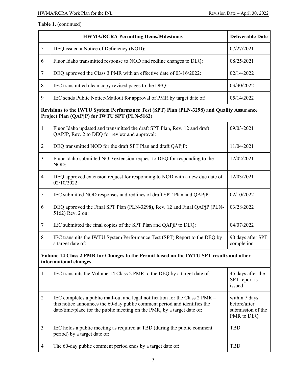|                | <b>HWMA/RCRA Permitting Items/Milestones</b>                                                                                                                                                                                         | <b>Deliverable Date</b>                                          |
|----------------|--------------------------------------------------------------------------------------------------------------------------------------------------------------------------------------------------------------------------------------|------------------------------------------------------------------|
| 5              | DEQ issued a Notice of Deficiency (NOD):                                                                                                                                                                                             | 07/27/2021                                                       |
| 6              | Fluor Idaho transmitted response to NOD and redline changes to DEQ:                                                                                                                                                                  | 08/25/2021                                                       |
| $\tau$         | DEQ approved the Class 3 PMR with an effective date of 03/16/2022:                                                                                                                                                                   | 02/14/2022                                                       |
| 8              | IEC transmitted clean copy revised pages to the DEQ:                                                                                                                                                                                 | 03/30/2022                                                       |
| 9              | IEC sends Public Notice/Mailout for approval of PMR by target date of:                                                                                                                                                               | 05/14/2022                                                       |
|                | Revisions to the IWTU System Performance Test (SPT) Plan (PLN-3298) and Quality Assurance<br>Project Plan (QAPjP) for IWTU SPT (PLN-5162)                                                                                            |                                                                  |
| $\mathbf{1}$   | Fluor Idaho updated and transmitted the draft SPT Plan, Rev. 12 and draft<br>QAPJP, Rev. 2 to DEQ for review and approval:                                                                                                           | 09/03/2021                                                       |
| $\overline{2}$ | DEQ transmitted NOD for the draft SPT Plan and draft QAPjP:                                                                                                                                                                          | 11/04/2021                                                       |
| 3              | Fluor Idaho submitted NOD extension request to DEQ for responding to the<br>NOD:                                                                                                                                                     | 12/02/2021                                                       |
| $\overline{4}$ | DEQ approved extension request for responding to NOD with a new due date of<br>02/10/2022:                                                                                                                                           | 12/03/2021                                                       |
| 5              | IEC submitted NOD responses and redlines of draft SPT Plan and QAPjP:                                                                                                                                                                | 02/10/2022                                                       |
| 6              | DEQ approved the Final SPT Plan (PLN-3298), Rev. 12 and Final QAPjP (PLN-<br>5162) Rev. 2 on:                                                                                                                                        | 03/28/2022                                                       |
| $\tau$         | IEC submitted the final copies of the SPT Plan and QAPjP to DEQ:                                                                                                                                                                     | 04/07/2022                                                       |
| 8              | IEC transmits the IWTU System Performance Test (SPT) Report to the DEQ by<br>a target date of:                                                                                                                                       | 90 days after SPT<br>completion                                  |
|                | Volume 14 Class 2 PMR for Changes to the Permit based on the IWTU SPT results and other<br>informational changes                                                                                                                     |                                                                  |
| 1              | IEC transmits the Volume 14 Class 2 PMR to the DEQ by a target date of:                                                                                                                                                              | 45 days after the<br>SPT report is<br>issued                     |
| $\overline{2}$ | IEC completes a public mail-out and legal notification for the Class 2 PMR -<br>this notice announces the 60-day public comment period and identifies the<br>date/time/place for the public meeting on the PMR, by a target date of: | within 7 days<br>before/after<br>submission of the<br>PMR to DEQ |
| 3              | IEC holds a public meeting as required at TBD (during the public comment<br>period) by a target date of:                                                                                                                             | <b>TBD</b>                                                       |
| 4              | The 60-day public comment period ends by a target date of:                                                                                                                                                                           | <b>TBD</b>                                                       |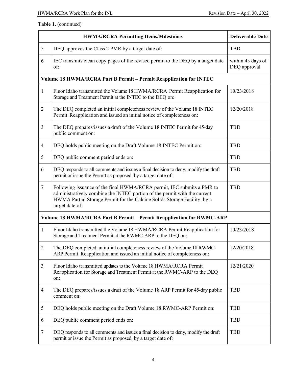| <b>HWMA/RCRA Permitting Items/Milestones</b> |                                                                                                                                                                                                                                                     | <b>Deliverable Date</b>           |  |
|----------------------------------------------|-----------------------------------------------------------------------------------------------------------------------------------------------------------------------------------------------------------------------------------------------------|-----------------------------------|--|
| 5                                            | DEQ approves the Class 2 PMR by a target date of:                                                                                                                                                                                                   | <b>TBD</b>                        |  |
| 6                                            | IEC transmits clean copy pages of the revised permit to the DEQ by a target date<br>of:                                                                                                                                                             | within 45 days of<br>DEQ approval |  |
|                                              | Volume 18 HWMA/RCRA Part B Permit - Permit Reapplication for INTEC                                                                                                                                                                                  |                                   |  |
| 1                                            | Fluor Idaho transmitted the Volume 18 HWMA/RCRA Permit Reapplication for<br>Storage and Treatment Permit at the INTEC to the DEQ on:                                                                                                                | 10/23/2018                        |  |
| $\overline{2}$                               | The DEQ completed an initial completeness review of the Volume 18 INTEC<br>Permit Reapplication and issued an initial notice of completeness on:                                                                                                    | 12/20/2018                        |  |
| 3                                            | The DEQ prepares/issues a draft of the Volume 18 INTEC Permit for 45-day<br>public comment on:                                                                                                                                                      | <b>TBD</b>                        |  |
| $\overline{4}$                               | DEQ holds public meeting on the Draft Volume 18 INTEC Permit on:                                                                                                                                                                                    | <b>TBD</b>                        |  |
| 5                                            | DEQ public comment period ends on:                                                                                                                                                                                                                  | <b>TBD</b>                        |  |
| 6                                            | DEQ responds to all comments and issues a final decision to deny, modify the draft<br>permit or issue the Permit as proposed, by a target date of:                                                                                                  | <b>TBD</b>                        |  |
| $\tau$                                       | Following issuance of the final HWMA/RCRA permit, IEC submits a PMR to<br>administratively combine the INTEC portion of the permit with the current<br>HWMA Partial Storage Permit for the Calcine Solids Storage Facility, by a<br>target date of: | <b>TBD</b>                        |  |
|                                              | Volume 18 HWMA/RCRA Part B Permit - Permit Reapplication for RWMC-ARP                                                                                                                                                                               |                                   |  |
| 1                                            | Fluor Idaho transmitted the Volume 18 HWMA/RCRA Permit Reapplication for<br>Storage and Treatment Permit at the RWMC-ARP to the DEQ on:                                                                                                             | 10/23/2018                        |  |
| $\mathfrak{2}$                               | The DEQ completed an initial completeness review of the Volume 18 RWMC-<br>ARP Permit Reapplication and issued an initial notice of completeness on:                                                                                                | 12/20/2018                        |  |
| 3                                            | Fluor Idaho transmitted updates to the Volume 18 HWMA/RCRA Permit<br>Reapplication for Storage and Treatment Permit at the RWMC-ARP to the DEQ<br>on:                                                                                               | 12/21/2020                        |  |
| $\overline{4}$                               | The DEQ prepares/issues a draft of the Volume 18 ARP Permit for 45-day public<br>comment on:                                                                                                                                                        | <b>TBD</b>                        |  |
| 5                                            | DEQ holds public meeting on the Draft Volume 18 RWMC-ARP Permit on:                                                                                                                                                                                 | <b>TBD</b>                        |  |
| 6                                            | DEQ public comment period ends on:                                                                                                                                                                                                                  | <b>TBD</b>                        |  |
| 7                                            | DEQ responds to all comments and issues a final decision to deny, modify the draft<br>permit or issue the Permit as proposed, by a target date of:                                                                                                  | <b>TBD</b>                        |  |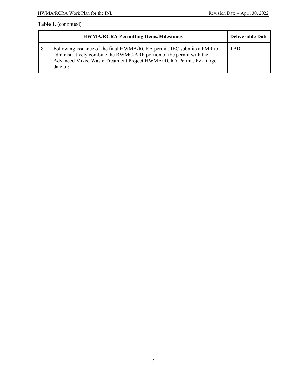|    | <b>Deliverable Date</b>                                                                                                                                                                                                            |            |
|----|------------------------------------------------------------------------------------------------------------------------------------------------------------------------------------------------------------------------------------|------------|
| -8 | Following issuance of the final HWMA/RCRA permit, IEC submits a PMR to<br>administratively combine the RWMC-ARP portion of the permit with the<br>Advanced Mixed Waste Treatment Project HWMA/RCRA Permit, by a target<br>date of: | <b>TRD</b> |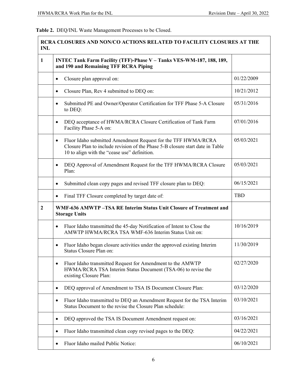# **Table 2.** DEQ/INL Waste Management Processes to be Closed.

| <b>RCRA CLOSURES AND NON/CO ACTIONS RELATED TO FACILITY CLOSURES AT THE</b><br><b>INL</b> |                                                                                                                                                                                                             |            |
|-------------------------------------------------------------------------------------------|-------------------------------------------------------------------------------------------------------------------------------------------------------------------------------------------------------------|------------|
| $\mathbf{1}$                                                                              | INTEC Tank Farm Facility (TFF)-Phase V - Tanks VES-WM-187, 188, 189,<br>and 190 and Remaining TFF RCRA Piping                                                                                               |            |
|                                                                                           | Closure plan approval on:<br>$\bullet$                                                                                                                                                                      | 01/22/2009 |
|                                                                                           | Closure Plan, Rev 4 submitted to DEQ on:<br>$\bullet$                                                                                                                                                       | 10/21/2012 |
|                                                                                           | Submitted PE and Owner/Operator Certification for TFF Phase 5-A Closure<br>$\bullet$<br>to DEQ:                                                                                                             | 05/31/2016 |
|                                                                                           | DEQ acceptance of HWMA/RCRA Closure Certification of Tank Farm<br>$\bullet$<br>Facility Phase 5-A on:                                                                                                       | 07/01/2016 |
|                                                                                           | Fluor Idaho submitted Amendment Request for the TFF HWMA/RCRA<br>$\bullet$<br>Closure Plan to include revision of the Phase 5-B closure start date in Table<br>10 to align with the "cease use" definition. | 05/03/2021 |
|                                                                                           | DEQ Approval of Amendment Request for the TFF HWMA/RCRA Closure<br>$\bullet$<br>Plan:                                                                                                                       | 05/03/2021 |
|                                                                                           | Submitted clean copy pages and revised TFF closure plan to DEQ:<br>$\bullet$                                                                                                                                | 06/15/2021 |
|                                                                                           | Final TFF Closure completed by target date of:<br>$\bullet$                                                                                                                                                 | <b>TBD</b> |
| $\boldsymbol{2}$                                                                          | WMF-636 AMWTP-TSA RE Interim Status Unit Closure of Treatment and<br><b>Storage Units</b>                                                                                                                   |            |
|                                                                                           | Fluor Idaho transmitted the 45-day Notification of Intent to Close the<br>$\bullet$<br>AMWTP HWMA/RCRA TSA WMF-636 Interim Status Unit on:                                                                  | 10/16/2019 |
|                                                                                           | Fluor Idaho began closure activities under the approved existing Interim<br>٠<br>Status Closure Plan on:                                                                                                    | 11/30/2019 |
|                                                                                           | Fluor Idaho transmitted Request for Amendment to the AMWTP<br>$\bullet$<br>HWMA/RCRA TSA Interim Status Document (TSA-06) to revise the<br>existing Closure Plan:                                           | 02/27/2020 |
|                                                                                           | DEQ approval of Amendment to TSA IS Document Closure Plan:<br>$\bullet$                                                                                                                                     | 03/12/2020 |
|                                                                                           | Fluor Idaho transmitted to DEQ an Amendment Request for the TSA Interim<br>$\bullet$<br>Status Document to the revise the Closure Plan schedule:                                                            | 03/10/2021 |
|                                                                                           | DEQ approved the TSA IS Document Amendment request on:<br>٠                                                                                                                                                 | 03/16/2021 |
|                                                                                           | Fluor Idaho transmitted clean copy revised pages to the DEQ:<br>٠                                                                                                                                           | 04/22/2021 |
|                                                                                           | Fluor Idaho mailed Public Notice:                                                                                                                                                                           | 06/10/2021 |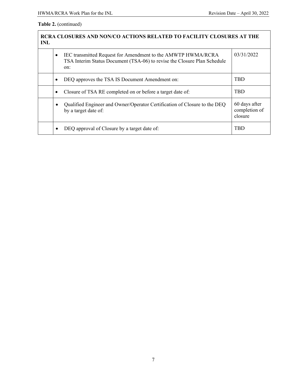| <b>RCRA CLOSURES AND NON/CO ACTIONS RELATED TO FACILITY CLOSURES AT THE</b><br><b>INL</b> |                                                                                                                                                      |                                           |
|-------------------------------------------------------------------------------------------|------------------------------------------------------------------------------------------------------------------------------------------------------|-------------------------------------------|
|                                                                                           | IEC transmitted Request for Amendment to the AMWTP HWMA/RCRA<br>٠<br>TSA Interim Status Document (TSA-06) to revise the Closure Plan Schedule<br>on: | 03/31/2022                                |
|                                                                                           | DEQ approves the TSA IS Document Amendment on:<br>٠                                                                                                  | <b>TBD</b>                                |
|                                                                                           | Closure of TSA RE completed on or before a target date of:<br>٠                                                                                      | <b>TBD</b>                                |
|                                                                                           | Qualified Engineer and Owner/Operator Certification of Closure to the DEQ<br>by a target date of:                                                    | 60 days after<br>completion of<br>closure |
|                                                                                           | DEQ approval of Closure by a target date of:                                                                                                         | TBD                                       |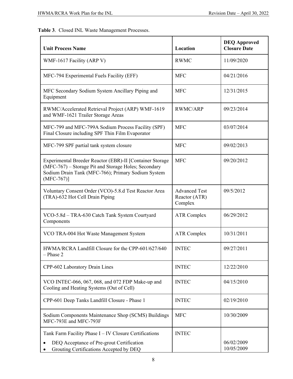# **Table 3**. Closed INL Waste Management Processes.

| <b>Unit Process Name</b>                                                                                                                                                               | Location                                         | <b>DEQ Approved</b><br><b>Closure Date</b> |
|----------------------------------------------------------------------------------------------------------------------------------------------------------------------------------------|--------------------------------------------------|--------------------------------------------|
| WMF-1617 Facility (ARP V)                                                                                                                                                              | <b>RWMC</b>                                      | 11/09/2020                                 |
| MFC-794 Experimental Fuels Facility (EFF)                                                                                                                                              | <b>MFC</b>                                       | 04/21/2016                                 |
| MFC Secondary Sodium System Ancillary Piping and<br>Equipment                                                                                                                          | <b>MFC</b>                                       | 12/31/2015                                 |
| RWMC/Accelerated Retrieval Project (ARP) WMF-1619<br>and WMF-1621 Trailer Storage Areas                                                                                                | RWMC/ARP                                         | 09/23/2014                                 |
| MFC-799 and MFC-799A Sodium Process Facility (SPF)<br>Final Closure including SPF Thin Film Evaporator                                                                                 | <b>MFC</b>                                       | 03/07/2014                                 |
| MFC-799 SPF partial tank system closure                                                                                                                                                | <b>MFC</b>                                       | 09/02/2013                                 |
| Experimental Breeder Reactor (EBR)-II [Container Storage<br>(MFC-767) – Storage Pit and Storage Holes; Secondary<br>Sodium Drain Tank (MFC-766); Primary Sodium System<br>$(MFC-767)]$ | <b>MFC</b>                                       | 09/20/2012                                 |
| Voluntary Consent Order (VCO)-5.8.d Test Reactor Area<br>(TRA)-632 Hot Cell Drain Piping                                                                                               | <b>Advanced Test</b><br>Reactor (ATR)<br>Complex | 09/5/2012                                  |
| VCO-5.8d - TRA-630 Catch Tank System Courtyard<br>Components                                                                                                                           | <b>ATR Complex</b>                               | 06/29/2012                                 |
| VCO TRA-004 Hot Waste Management System                                                                                                                                                | <b>ATR Complex</b>                               | 10/31/2011                                 |
| HWMA/RCRA Landfill Closure for the CPP-601/627/640<br>$-$ Phase 2                                                                                                                      | <b>INTEC</b>                                     | 09/27/2011                                 |
| CPP-602 Laboratory Drain Lines                                                                                                                                                         | <b>INTEC</b>                                     | 12/22/2010                                 |
| VCO INTEC-066, 067, 068, and 072 FDP Make-up and<br>Cooling and Heating Systems (Out of Cell)                                                                                          | <b>INTEC</b>                                     | 04/15/2010                                 |
| CPP-601 Deep Tanks Landfill Closure - Phase 1                                                                                                                                          | <b>INTEC</b>                                     | 02/19/2010                                 |
| Sodium Components Maintenance Shop (SCMS) Buildings<br>MFC-793E and MFC-793F                                                                                                           | <b>MFC</b>                                       | 10/30/2009                                 |
| Tank Farm Facility Phase I - IV Closure Certifications<br>DEQ Acceptance of Pre-grout Certification                                                                                    | <b>INTEC</b>                                     | 06/02/2009                                 |
| Grouting Certifications Accepted by DEQ                                                                                                                                                |                                                  | 10/05/2009                                 |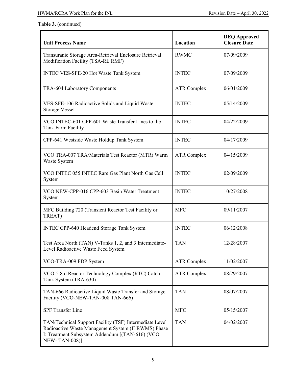| <b>Unit Process Name</b>                                                                                                                                                                 | Location           | <b>DEQ Approved</b><br><b>Closure Date</b> |
|------------------------------------------------------------------------------------------------------------------------------------------------------------------------------------------|--------------------|--------------------------------------------|
| Transuranic Storage Area-Retrieval Enclosure Retrieval<br>Modification Facility (TSA-RE RMF)                                                                                             | <b>RWMC</b>        | 07/09/2009                                 |
| INTEC VES-SFE-20 Hot Waste Tank System                                                                                                                                                   | <b>INTEC</b>       | 07/09/2009                                 |
| TRA-604 Laboratory Components                                                                                                                                                            | <b>ATR Complex</b> | 06/01/2009                                 |
| VES-SFE-106 Radioactive Solids and Liquid Waste<br><b>Storage Vessel</b>                                                                                                                 | <b>INTEC</b>       | 05/14/2009                                 |
| VCO INTEC-601 CPP-601 Waste Transfer Lines to the<br>Tank Farm Facility                                                                                                                  | <b>INTEC</b>       | 04/22/2009                                 |
| CPP-641 Westside Waste Holdup Tank System                                                                                                                                                | <b>INTEC</b>       | 04/17/2009                                 |
| VCO TRA-007 TRA/Materials Test Reactor (MTR) Warm<br>Waste System                                                                                                                        | <b>ATR Complex</b> | 04/15/2009                                 |
| VCO INTEC 055 INTEC Rare Gas Plant North Gas Cell<br>System                                                                                                                              | <b>INTEC</b>       | 02/09/2009                                 |
| VCO NEW-CPP-016 CPP-603 Basin Water Treatment<br>System                                                                                                                                  | <b>INTEC</b>       | 10/27/2008                                 |
| MFC Building 720 (Transient Reactor Test Facility or<br>TREAT)                                                                                                                           | <b>MFC</b>         | 09/11/2007                                 |
| INTEC CPP-640 Headend Storage Tank System                                                                                                                                                | <b>INTEC</b>       | 06/12/2008                                 |
| Test Area North (TAN) V-Tanks 1, 2, and 3 Intermediate-<br>Level Radioactive Waste Feed System                                                                                           | <b>TAN</b>         | 12/28/2007                                 |
| VCO-TRA-009 FDP System                                                                                                                                                                   | <b>ATR Complex</b> | 11/02/2007                                 |
| VCO-5.8.d Reactor Technology Complex (RTC) Catch<br>Tank System (TRA-630)                                                                                                                | <b>ATR Complex</b> | 08/29/2007                                 |
| TAN-666 Radioactive Liquid Waste Transfer and Storage<br>Facility (VCO-NEW-TAN-008 TAN-666)                                                                                              | <b>TAN</b>         | 08/07/2007                                 |
| <b>SPF</b> Transfer Line                                                                                                                                                                 | <b>MFC</b>         | 05/15/2007                                 |
| TAN/Technical Support Facility (TSF) Intermediate Level<br>Radioactive Waste Management System (ILRWMS) Phase<br>I: Treatment Subsystem Addendum [(TAN-616) (VCO<br><b>NEW-TAN-008)]</b> | <b>TAN</b>         | 04/02/2007                                 |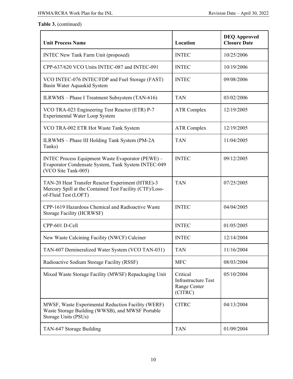| <b>Unit Process Name</b>                                                                                                             | Location                                                          | <b>DEQ Approved</b><br><b>Closure Date</b> |
|--------------------------------------------------------------------------------------------------------------------------------------|-------------------------------------------------------------------|--------------------------------------------|
| <b>INTEC New Tank Farm Unit (proposed)</b>                                                                                           | <b>INTEC</b>                                                      | 10/25/2006                                 |
| CPP-637/620 VCO Units INTEC-087 and INTEC-091                                                                                        | <b>INTEC</b>                                                      | 10/19/2006                                 |
| VCO INTEC-076 INTEC/FDP and Fuel Storage (FAST)<br>Basin Water Aquaskid System                                                       | <b>INTEC</b>                                                      | 09/08/2006                                 |
| ILRWMS - Phase I Treatment Subsystem (TAN-616)                                                                                       | <b>TAN</b>                                                        | 03/02/2006                                 |
| VCO TRA-023 Engineering Test Reactor (ETR) P-7<br>Experimental Water Loop System                                                     | <b>ATR Complex</b>                                                | 12/19/2005                                 |
| VCO TRA-002 ETR Hot Waste Tank System                                                                                                | <b>ATR Complex</b>                                                | 12/19/2005                                 |
| ILRWMS - Phase III Holding Tank System (PM-2A)<br>Tanks)                                                                             | <b>TAN</b>                                                        | 11/04/2005                                 |
| INTEC Process Equipment Waste Evaporator (PEWE) -<br>Evaporator Condensate System, Tank System INTEC-049<br>(VCO Site Tank-005)      | <b>INTEC</b>                                                      | 09/12/2005                                 |
| TAN-20 Heat Transfer Reactor Experiment (HTRE)-3<br>Mercury Spill at the Contained Test Facility (CTF)/Loss-<br>of-Fluid Test (LOFT) | <b>TAN</b>                                                        | 07/25/2005                                 |
| CPP-1619 Hazardous Chemical and Radioactive Waste<br>Storage Facility (HCRWSF)                                                       | <b>INTEC</b>                                                      | 04/04/2005                                 |
| CPP-601 D-Cell                                                                                                                       | <b>INTEC</b>                                                      | 01/05/2005                                 |
| New Waste Calcining Facility (NWCF) Calciner                                                                                         | <b>INTEC</b>                                                      | 12/14/2004                                 |
| TAN-607 Demineralized Water System (VCO TAN-031)                                                                                     | <b>TAN</b>                                                        | 11/16/2004                                 |
| Radioactive Sodium Storage Facility (RSSF)                                                                                           | <b>MFC</b>                                                        | 08/03/2004                                 |
| Mixed Waste Storage Facility (MWSF) Repackaging Unit                                                                                 | Critical<br><b>Infrastructure Test</b><br>Range Center<br>(CITRC) | 05/10/2004                                 |
| MWSF, Waste Experimental Reduction Facility (WERF)<br>Waste Storage Building (WWSB), and MWSF Portable<br>Storage Units (PSUs)       | <b>CITRC</b>                                                      | 04/13/2004                                 |
| TAN-647 Storage Building                                                                                                             | <b>TAN</b>                                                        | 01/09/2004                                 |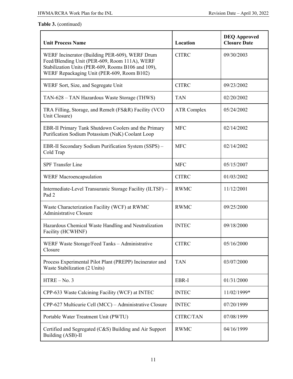| <b>Unit Process Name</b>                                                                                                                                                                            | Location           | <b>DEQ Approved</b><br><b>Closure Date</b> |
|-----------------------------------------------------------------------------------------------------------------------------------------------------------------------------------------------------|--------------------|--------------------------------------------|
| WERF Incinerator (Building PER-609), WERF Drum<br>Feed/Blending Unit (PER-609, Room 111A), WERF<br>Stabilization Units (PER-609, Rooms B106 and 109),<br>WERF Repackaging Unit (PER-609, Room B102) | <b>CITRC</b>       | 09/30/2003                                 |
| WERF Sort, Size, and Segregate Unit                                                                                                                                                                 | <b>CITRC</b>       | 09/23/2002                                 |
| TAN-628 - TAN Hazardous Waste Storage (THWS)                                                                                                                                                        | <b>TAN</b>         | 02/20/2002                                 |
| TRA Filling, Storage, and Remelt (FS&R) Facility (VCO<br>Unit Closure)                                                                                                                              | <b>ATR Complex</b> | 05/24/2002                                 |
| EBR-II Primary Tank Shutdown Coolers and the Primary<br>Purification Sodium Potassium (NaK) Coolant Loop                                                                                            | <b>MFC</b>         | 02/14/2002                                 |
| EBR-II Secondary Sodium Purification System (SSPS) -<br>Cold Trap                                                                                                                                   | <b>MFC</b>         | 02/14/2002                                 |
| <b>SPF Transfer Line</b>                                                                                                                                                                            | <b>MFC</b>         | 05/15/2007                                 |
| <b>WERF Macroencapsulation</b>                                                                                                                                                                      | <b>CITRC</b>       | 01/03/2002                                 |
| Intermediate-Level Transuranic Storage Facility (ILTSF) -<br>Pad <sub>2</sub>                                                                                                                       | <b>RWMC</b>        | 11/12/2001                                 |
| Waste Characterization Facility (WCF) at RWMC<br><b>Administrative Closure</b>                                                                                                                      | <b>RWMC</b>        | 09/25/2000                                 |
| Hazardous Chemical Waste Handling and Neutralization<br>Facility (HCWHNF)                                                                                                                           | <b>INTEC</b>       | 09/18/2000                                 |
| WERF Waste Storage/Feed Tanks - Administrative<br>Closure                                                                                                                                           | <b>CITRC</b>       | 05/16/2000                                 |
| Process Experimental Pilot Plant (PREPP) Incinerator and<br>Waste Stabilization (2 Units)                                                                                                           | <b>TAN</b>         | 03/07/2000                                 |
| $HTRE - No. 3$                                                                                                                                                                                      | EBR-I              | 01/31/2000                                 |
| CPP-633 Waste Calcining Facility (WCF) at INTEC                                                                                                                                                     | <b>INTEC</b>       | 11/02/1999*                                |
| CPP-627 Multicurie Cell (MCC) - Administrative Closure                                                                                                                                              | <b>INTEC</b>       | 07/20/1999                                 |
| Portable Water Treatment Unit (PWTU)                                                                                                                                                                | CITRC/TAN          | 07/08/1999                                 |
| Certified and Segregated (C&S) Building and Air Support<br>Building (ASB)-II                                                                                                                        | <b>RWMC</b>        | 04/16/1999                                 |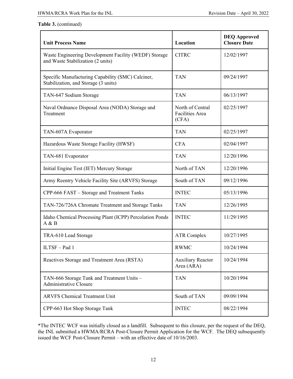| <b>Unit Process Name</b>                                                                   | Location                                     | <b>DEQ Approved</b><br><b>Closure Date</b> |
|--------------------------------------------------------------------------------------------|----------------------------------------------|--------------------------------------------|
| Waste Engineering Development Facility (WEDF) Storage<br>and Waste Stabilization (2 units) | <b>CITRC</b>                                 | 12/02/1997                                 |
| Specific Manufacturing Capability (SMC) Calciner,<br>Stabilization, and Storage (3 units)  | <b>TAN</b>                                   | 09/24/1997                                 |
| TAN-647 Sodium Storage                                                                     | <b>TAN</b>                                   | 06/13/1997                                 |
| Naval Ordnance Disposal Area (NODA) Storage and<br>Treatment                               | North of Central<br>Facilities Area<br>(CFA) | 02/25/1997                                 |
| TAN-607A Evaporator                                                                        | <b>TAN</b>                                   | 02/25/1997                                 |
| Hazardous Waste Storage Facility (HWSF)                                                    | <b>CFA</b>                                   | 02/04/1997                                 |
| TAN-681 Evaporator                                                                         | <b>TAN</b>                                   | 12/20/1996                                 |
| Initial Engine Test (IET) Mercury Storage                                                  | North of TAN                                 | 12/20/1996                                 |
| Army Reentry Vehicle Facility Site (ARVFS) Storage                                         | South of TAN                                 | 09/12/1996                                 |
| CPP-666 FAST - Storage and Treatment Tanks                                                 | <b>INTEC</b>                                 | 05/13/1996                                 |
| TAN-726/726A Chromate Treatment and Storage Tanks                                          | <b>TAN</b>                                   | 12/26/1995                                 |
| Idaho Chemical Processing Plant (ICPP) Percolation Ponds<br>A & B                          | <b>INTEC</b>                                 | 11/29/1995                                 |
| TRA-610 Lead Storage                                                                       | <b>ATR Complex</b>                           | 10/27/1995                                 |
| ILTSF-Pad 1                                                                                | <b>RWMC</b>                                  | 10/24/1994                                 |
| Reactives Storage and Treatment Area (RSTA)                                                | <b>Auxiliary Reactor</b><br>Area (ARA)       | 10/24/1994                                 |
| TAN-666 Storage Tank and Treatment Units -<br><b>Administrative Closure</b>                | <b>TAN</b>                                   | 10/20/1994                                 |
| <b>ARVFS Chemical Treatment Unit</b>                                                       | South of TAN                                 | 09/09/1994                                 |
| CPP-663 Hot Shop Storage Tank                                                              | <b>INTEC</b>                                 | 08/22/1994                                 |

\*The INTEC WCF was initially closed as a landfill. Subsequent to this closure, per the request of the DEQ, the INL submitted a HWMA/RCRA Post-Closure Permit Application for the WCF. The DEQ subsequently issued the WCF Post-Closure Permit – with an effective date of 10/16/2003.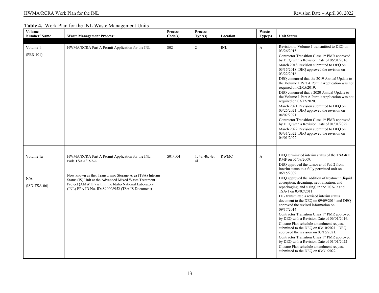### **Table 4.** Work Plan for the INL Waste Management Units

| Volume<br><b>Number/Name</b>       | <b>Waste Management Process*</b>                                                                                                                                                                                                                                                                      | <b>Process</b><br>Code(s) | <b>Process</b><br>Type(s) | Location    | Waste<br>Type(s) | <b>Unit Status</b>                                                                                                                                                                                                                                                                                                                                                                                                                                                                                                                                                                                                                                                                                                                                                                                                                                                                                      |
|------------------------------------|-------------------------------------------------------------------------------------------------------------------------------------------------------------------------------------------------------------------------------------------------------------------------------------------------------|---------------------------|---------------------------|-------------|------------------|---------------------------------------------------------------------------------------------------------------------------------------------------------------------------------------------------------------------------------------------------------------------------------------------------------------------------------------------------------------------------------------------------------------------------------------------------------------------------------------------------------------------------------------------------------------------------------------------------------------------------------------------------------------------------------------------------------------------------------------------------------------------------------------------------------------------------------------------------------------------------------------------------------|
| Volume 1<br>$(PER-101)$            | HWMA/RCRA Part A Permit Application for the INL                                                                                                                                                                                                                                                       | S <sub>0</sub> 2          | $\overline{2}$            | INL         | A                | Revision to Volume 1 transmitted to DEO on<br>03/26/2015.<br>Contractor Transition Class 1* PMR approved<br>by DEQ with a Revision Date of 06/01/2016.<br>March 2018 Revision submitted to DEQ on<br>03/15/2018. DEQ approved the revision on<br>03/22/2018.<br>DEQ concurred that the 2019 Annual Update to<br>the Volume 1 Part A Permit Application was not<br>required on 02/05/2019.<br>DEQ concurred that a 2020 Annual Update to<br>the Volume 1 Part A Permit Application was not<br>required on $03/12/2020$ .<br>March 2021 Revision submitted to DEQ on<br>03/25/2021. DEQ approved the revision on<br>04/02/2021.<br>Contractor Transition Class 1* PMR approved<br>by DEQ with a Revision Date of 01/01/2022.<br>March 2022 Revision submitted to DEO on<br>03/31/2022. DEQ approved the revision on<br>04/01/2022.                                                                        |
| Volume 1a<br>N/A<br>$(ISD-TSA-06)$ | HWMA/RCRA Part A Permit Application for the INL,<br>Pads TSA-1/TSA-R<br>Now known as the: Transuranic Storage Area (TSA) Interim<br>Status (IS) Unit at the Advanced Mixed Waste Treatment<br>Project (AMWTP) within the Idaho National Laboratory<br>(INL) EPA ID No. ID4890008952 (TSA IS Document) | S01/T04                   | 1, 4a, 4b, 4c,<br>41      | <b>RWMC</b> | A                | DEQ terminated interim status of the TSA-RE<br>RMF on 07/09/2009.<br>DEQ approved the turnover of Pad 2 from<br>interim status to a fully permitted unit on<br>06/15/2009.<br>DEQ approved the addition of treatment (liquid<br>absorption, decanting, neutralization, and<br>repackaging, and sizing) in the TSA-R and<br>TSA-1 on 03/02/2011.<br>ITG transmitted a revised interim status<br>document to the DEQ on 09/09/2014 and DEQ<br>approved the revised information on<br>09/17/2014.<br>Contractor Transition Class 1* PMR approved<br>by DEQ with a Revision Date of 06/01/2016.<br>Closure Plan schedule amendment request<br>submitted to the DEQ on 03/10/2021. DEQ<br>approved the revision on 03/16/2021.<br>Contractor Transition Class 1* PMR approved<br>by DEQ with a Revision Date of 01/01/2022<br>Closure Plan schedule amendment request<br>submitted to the DEQ on 03/31/2022. |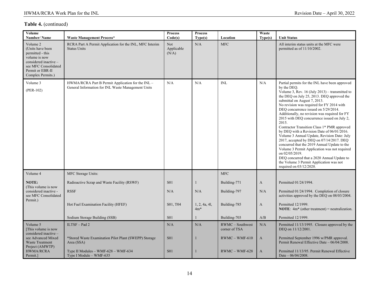| Volume<br><b>Number/Name</b>                                                                                                                                | <b>Waste Management Process*</b>                                                                        | <b>Process</b><br>Code(s)         | <b>Process</b><br>Type(s) | Location                                                | Waste<br>Type(s)    | <b>Unit Status</b>                                                                                                                                                                                                                                                                                                                                                                                                                                                                                                                                                                                                                                                                                                                                                                                                        |
|-------------------------------------------------------------------------------------------------------------------------------------------------------------|---------------------------------------------------------------------------------------------------------|-----------------------------------|---------------------------|---------------------------------------------------------|---------------------|---------------------------------------------------------------------------------------------------------------------------------------------------------------------------------------------------------------------------------------------------------------------------------------------------------------------------------------------------------------------------------------------------------------------------------------------------------------------------------------------------------------------------------------------------------------------------------------------------------------------------------------------------------------------------------------------------------------------------------------------------------------------------------------------------------------------------|
| Volume 2<br>(Units have been<br>permitted - this<br>volume is now<br>considered inactive -<br>see MFC Consolidated<br>Permit or EBR-II<br>Complex Permits.) | RCRA Part A Permit Application for the INL, MFC Interim<br><b>Status Units</b>                          | Not<br>Applicable<br>(N/A)        | N/A                       | <b>MFC</b>                                              |                     | All interim status units at the MFC were<br>permitted as of 11/10/2002.                                                                                                                                                                                                                                                                                                                                                                                                                                                                                                                                                                                                                                                                                                                                                   |
| Volume 3<br>$(PER-102)$                                                                                                                                     | HWMA/RCRA Part B Permit Application for the INL -<br>General Information for INL Waste Management Units | N/A                               | N/A                       | <b>INL</b>                                              | N/A                 | Partial permits for the INL have been approved<br>by the DEO.<br>Volume 3, Rev. 16 (July 2013) – transmitted to<br>the DEQ on July 25, 2013. DEQ approved the<br>submittal on August 7, 2013.<br>No revision was required for FY 2014 with<br>DEQ concurrence issued on 5/29/2014.<br>Additionally, no revision was required for FY<br>2015 with DEQ concurrence issued on July 2,<br>2015.<br>Contractor Transition Class 1* PMR approved<br>by DEQ with a Revision Date of 06/01/2016.<br>Volume 3 Annual Update, Revision Date: July<br>2017, accepted by DEQ on 07/14/2017. DEQ<br>concurred that the 2019 Annual Update to the<br>Volume 3 Permit Application was not required<br>on 02/05/2019.<br>DEQ concurred that a 2020 Annual Update to<br>the Volume 3 Permit Application was not<br>required on 03/12/2020. |
| Volume 4                                                                                                                                                    | MFC Storage Units:                                                                                      |                                   |                           | <b>MFC</b>                                              |                     |                                                                                                                                                                                                                                                                                                                                                                                                                                                                                                                                                                                                                                                                                                                                                                                                                           |
| NOTE:                                                                                                                                                       | Radioactive Scrap and Waste Facility (RSWF)                                                             | <b>S01</b>                        | 1                         | Building-771                                            | A                   | Permitted 01/24/1994.                                                                                                                                                                                                                                                                                                                                                                                                                                                                                                                                                                                                                                                                                                                                                                                                     |
| (This volume is now<br>considered inactive -<br>see MFC Consolidated<br>Permit.)                                                                            | <b>RSSF</b>                                                                                             | N/A                               | N/A                       | Building-797                                            | N/A                 | Permitted 01/24/1994. Completion of closure<br>activities approved by the DEQ on 08/03/2004.                                                                                                                                                                                                                                                                                                                                                                                                                                                                                                                                                                                                                                                                                                                              |
|                                                                                                                                                             | Hot Fuel Examination Facility (HFEF)                                                                    | S <sub>01</sub> , T <sub>04</sub> | 1, 2, 4a, 4l,<br>$4m*$    | Building-785                                            | $\boldsymbol{A}$    | Permitted 12/1999.<br><b>NOTE:</b> $4m^*$ (other treatment) = neutralization.                                                                                                                                                                                                                                                                                                                                                                                                                                                                                                                                                                                                                                                                                                                                             |
|                                                                                                                                                             | Sodium Storage Building (SSB)                                                                           | <b>S01</b>                        |                           | Building-703                                            | A/B                 | Permitted 12/1999.                                                                                                                                                                                                                                                                                                                                                                                                                                                                                                                                                                                                                                                                                                                                                                                                        |
| Volume 5<br>[This volume is now<br>considered inactive -<br>see Advanced Mixed<br><b>Waste Treatment</b>                                                    | ILTSF-Pad 2<br>*Stored Waste Examination Pilot Plant (SWEPP) Storage<br>Area (SSA)                      | N/A<br>S <sub>01</sub>            | N/A                       | $RWMC - Southwest$<br>corner of TSA<br>$RWMC - WMF-610$ | N/A<br>$\mathbf{A}$ | Permitted 11/13/1995. Closure approved by the<br>DEQ on 11/12/2001.<br>Permitted September 1996 w/PMR approval.<br>Permit Renewal Effective Date - 06/04/2008.                                                                                                                                                                                                                                                                                                                                                                                                                                                                                                                                                                                                                                                            |
| Project (AMWTP)<br>HWMA/RCRA<br>Permit.                                                                                                                     | Type II Modules – WMF-628 – WMF-634<br>Type I Module – WMF-635                                          | <b>S01</b>                        | 1                         | $RWMC - WMF-628$                                        | $\mathbf{A}$        | Permitted 11/13/95. Permit Renewal Effective<br>Date $-06/04/2008$ .                                                                                                                                                                                                                                                                                                                                                                                                                                                                                                                                                                                                                                                                                                                                                      |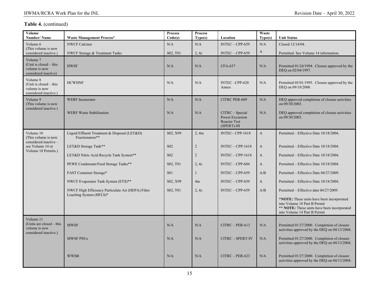| Volume<br>Number/Name                                                             | <b>Waste Management Process*</b>                                | <b>Process</b><br>Code(s)         | <b>Process</b><br>Type(s) | Location                                                                 | Waste<br>Type(s) | <b>Unit Status</b>                                                                                                                                             |
|-----------------------------------------------------------------------------------|-----------------------------------------------------------------|-----------------------------------|---------------------------|--------------------------------------------------------------------------|------------------|----------------------------------------------------------------------------------------------------------------------------------------------------------------|
| Volume 6                                                                          | <b>NWCF Calciner</b>                                            | N/A                               | N/A                       | $INTEC - CPP-659$                                                        | N/A              | Closed 12/14/04.                                                                                                                                               |
| (This volume is now<br>considered inactive.)                                      | NWCF Storage & Treatment Tanks                                  | S02, T01                          | 2, 4c                     | $INTEC - CPP-659$                                                        | A                | Permitted. See Volume 14 information.                                                                                                                          |
| Volume 7<br>(Unit is closed $-$ this<br>volume is now<br>considered inactive)     | <b>HWSF</b>                                                     | N/A                               | N/A                       | <b>CFA-637</b>                                                           | N/A              | Permitted 01/24/1994. Closure approved by the<br>DEQ on 02/04/1997.                                                                                            |
| Volume 8<br>(Unit is closed $-$ this<br>volume is now<br>considered inactive.)    | <b>HCWHNF</b>                                                   | N/A                               | N/A                       | INTEC-CPP-620<br>Annex                                                   | N/A              | Permitted 05/01/1995. Closure approved by the<br>DEO on 09/18/2000.                                                                                            |
| Volume 9<br>(This volume is now<br>considered inactive.)                          | <b>WERF</b> Incinerator                                         | N/A                               | N/A                       | CITRC PER-609                                                            | N/A              | DEQ approved completion of closure activities<br>on 09/30/2003.                                                                                                |
|                                                                                   | <b>WERF Waste Stabilization</b>                                 | N/A                               | N/A                       | CITRC - Special<br>Power Excursion<br><b>Reactor Test</b><br>(SPERT)-III | N/A              | DEQ approved completion of closure activities<br>on 09/30/2003.                                                                                                |
| Volume 10<br>(This volume is now<br>considered inactive -                         | Liquid Effluent Treatment & Disposal (LET&D)<br>Fractionators** | S02, X99                          | 2.4m                      | INTEC-CPP-1618                                                           | $\mathbf{A}$     | Permitted – Effective Date 10/18/2004.                                                                                                                         |
| see Volume 14 or                                                                  | LET&D Storage Tank**                                            | S <sub>02</sub>                   | $\overline{2}$            | $INTEC - CPP-1618$                                                       | $\mathbf{A}$     | Permitted – Effective Date 10/18/2004.                                                                                                                         |
| Volume 18 Permits.)                                                               | LET&D Nitric Acid Recycle Tank System**                         | S <sub>02</sub>                   | $\overline{2}$            | $INTEC - CPP-1618$                                                       | $\mathbf{A}$     | Permitted – Effective Date 10/18/2004.                                                                                                                         |
|                                                                                   | PEWE Condensate/Feed Storage Tanks**                            | S02, T01                          | 2, 4c                     | $INTEC - CPP-604$                                                        | $\mathbf{A}$     | Permitted – Effective Date 10/18/2004.                                                                                                                         |
|                                                                                   | <b>FAST Container Storage*</b>                                  | <b>S01</b>                        | 1                         | $INTEC - CPP-659$                                                        | A/B              | Permitted - Effective Date 04/27/2009.                                                                                                                         |
|                                                                                   | NWCF Evaporator Tank System (ETS)**                             | S <sub>02</sub> , X <sub>99</sub> | 4m                        | $INTEC - CPP-659$                                                        | A                | Permitted - Effective Date 10/18/2004.                                                                                                                         |
|                                                                                   | NWCF High Efficiency Particulate Air (HEPA) Filter              | S02, T01                          | 2.4c                      | $INTEC - CPP-659$                                                        | A/B              | Permitted – Effective date 04/27/2009.                                                                                                                         |
|                                                                                   | Leaching System (HFLS)*                                         |                                   |                           |                                                                          |                  | <b>NOTE:</b> These units have been incorporated<br>into Volume 18 Part B Permit<br>** NOTE: These units have been incorporated<br>into Volume 14 Part B Permit |
| Volume 11<br>(Units are closed $-$ this<br>volume is now<br>considered inactive.) | <b>MWSF</b>                                                     | N/A                               | N/A                       | $CITRC - PER-613$                                                        | N/A              | Permitted 01/27/2000. Completion of closure<br>activities approved by the DEQ on 04/13/2004.                                                                   |
|                                                                                   | <b>MWSF PSUs</b>                                                | N/A                               | N/A                       | CITRC - SPERT-IV                                                         | N/A              | Permitted 01/27/2000. Completion of closure<br>activities approved by the DEO on 04/13/2004.                                                                   |
|                                                                                   | <b>WWSB</b>                                                     | N/A                               | N/A                       | $CITRC - PER-623$                                                        | N/A              | Permitted 01/27/2000. Completion of closure<br>activities approved by the DEQ on 04/13/2004.                                                                   |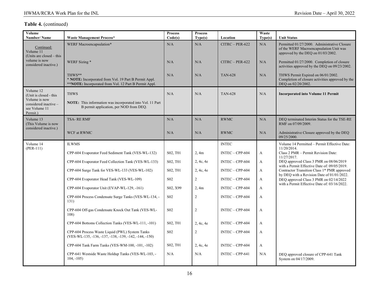| Volume<br>Number/Name                                                                                      | <b>Waste Management Process*</b>                                                                                                | <b>Process</b><br>Code(s) | <b>Process</b><br>Type(s) | Location          | Waste<br>Type(s) | <b>Unit Status</b>                                                                                                            |
|------------------------------------------------------------------------------------------------------------|---------------------------------------------------------------------------------------------------------------------------------|---------------------------|---------------------------|-------------------|------------------|-------------------------------------------------------------------------------------------------------------------------------|
| Continued:<br>Volume 11<br>(Units are closed – this                                                        | WERF Macroencapsulation*                                                                                                        | N/A                       | N/A                       | $CITRC - PER-622$ | N/A              | Permitted 01/27/2000. Administrative Closure<br>of the WERF Macroencapsulation Unit was<br>approved by the DEQ on 01/03/2002. |
| volume is now<br>considered inactive.)                                                                     | WERF Sizing *                                                                                                                   | N/A                       | N/A                       | $CITRC - PER-622$ | N/A              | Permitted 01/27/2000. Completion of closure<br>activities approved by the DEQ on 09/23/2002.                                  |
|                                                                                                            | THWS**<br>* <b>NOTE:</b> Incorporated from Vol. 19 Part B Permit Appl.<br>**NOTE: Incorporated from Vol. 12 Part B Permit Appl. | N/A                       | N/A                       | <b>TAN-628</b>    | N/A              | THWS Permit Expired on 06/01/2002.<br>Completion of closure activities approved by the<br>DEQ on 02/20/2002.                  |
| Volume 12<br>(Unit is closed - this<br>Volume is now<br>considered inactive -<br>see Volume 11<br>Permit.) | <b>THWS</b><br>NOTE: This information was incorporated into Vol. 11 Part<br>B permit application, per NOD from DEO.             | N/A                       | N/A                       | <b>TAN-628</b>    | N/A              | <b>Incorporated into Volume 11 Permit</b>                                                                                     |
| Volume 13<br>(This Volume is now<br>considered inactive.)                                                  | <b>TSA-RERMF</b>                                                                                                                | N/A                       | N/A                       | <b>RWMC</b>       | N/A              | DEQ terminated Interim Status for the TSE-RE<br>RMF on 07/09/2009.                                                            |
|                                                                                                            | WCF at RWMC                                                                                                                     | N/A                       | N/A                       | <b>RWMC</b>       | N/A              | Administrative Closure approved by the DEQ<br>09/25/2000.                                                                     |
| Volume 14<br>$(PER-111)$                                                                                   | <b>ILWMS</b>                                                                                                                    |                           |                           | <b>INTEC</b>      |                  | Volume 14 Permitted - Permit Effective Date:<br>11/20/2014.                                                                   |
|                                                                                                            | CPP-604 Evaporator Feed Sediment Tank (VES-WL-132)                                                                              | S02, T01                  | 2, 4m                     | $INTEC - CPP-604$ | A                | Class 2 PMR - Permit Revision Date:<br>11/27/2017.                                                                            |
|                                                                                                            | CPP-604 Evaporator Feed Collection Tank (VES-WL-133)                                                                            | S02, T01                  | 2, 4c, 4e                 | $INTEC - CPP-604$ | A                | DEQ approved Class 3 PMR on 08/06/2019<br>with a Permit Effective Date of: 09/05/2019.                                        |
|                                                                                                            | CPP-604 Surge Tank for VES-WL-133 (VES-WL-102)                                                                                  | S02, T01                  | 2, 4c, 4e                 | $INTEC - CPP-604$ | $\mathbf{A}$     | Contractor Transition Class 1* PMR approved<br>by DEQ with a Revision Date of 01/01/2022.                                     |
|                                                                                                            | CPP-604 Evaporator Head Tank (VES-WL-109)                                                                                       | S <sub>02</sub>           | 2                         | $INTEC - CPP-604$ | A                | DEQ approved Class 3 PMR on 02/14/2022                                                                                        |
|                                                                                                            | CPP-604 Evaporator Unit (EVAP-WL-129, -161)                                                                                     | S02, X99                  | 2, 4m                     | $INTEC - CPP-604$ | A                | with a Permit Effective Date of: 03/16/2022.                                                                                  |
|                                                                                                            | CPP-604 Process Condensate Surge Tanks (VES-WL-134, -<br>131)                                                                   | S <sub>02</sub>           | 2                         | $INTEC - CPP-604$ | A                |                                                                                                                               |
|                                                                                                            | CPP-604 Off-gas Condensate Knock Out Tank (VES-WL-<br>108)                                                                      | S <sub>02</sub>           | 2                         | $INTEC - CPP-604$ | A                |                                                                                                                               |
|                                                                                                            | CPP-604 Bottoms Collection Tanks (VES-WL-111, -101)                                                                             | S02, T01                  | 2, 4c, 4e                 | $INTEC - CPP-604$ | A                |                                                                                                                               |
|                                                                                                            | CPP-604 Process Waste Liquid (PWL) System Tanks<br>(VES-WL-135, -136, -137, -138, -139, -142, -144, -150)                       | S <sub>02</sub>           | 2                         | INTEC - CPP-604   | A                |                                                                                                                               |
|                                                                                                            | CPP-604 Tank Farm Tanks (VES-WM-100, -101, -102)                                                                                | S02, T01                  | 2, 4c, 4e                 | $INTEC - CPP-604$ | A                |                                                                                                                               |
|                                                                                                            | CPP-641 Westside Waste Holdup Tanks (VES-WL-103, -<br>$104, -105$                                                               | N/A                       | N/A                       | $INTEC - CPP-641$ | N/A              | DEQ approved closure of CPP-641 Tank<br>System on 04/17/2009.                                                                 |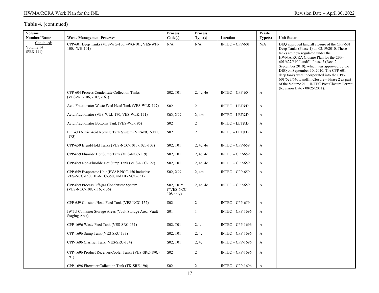| Volume<br>Number/Name                  | <b>Waste Management Process*</b>                                                            | <b>Process</b><br>Code(s)              | <b>Process</b><br>Type(s) | Location           | Waste<br>Type(s) | <b>Unit Status</b>                                                                                                                                                                                                                                                                                                                                                                                                                                                                         |
|----------------------------------------|---------------------------------------------------------------------------------------------|----------------------------------------|---------------------------|--------------------|------------------|--------------------------------------------------------------------------------------------------------------------------------------------------------------------------------------------------------------------------------------------------------------------------------------------------------------------------------------------------------------------------------------------------------------------------------------------------------------------------------------------|
| Continued:<br>Volume 14<br>$(PER-111)$ | CPP-601 Deep Tanks (VES-WG-100, -WG-101, VES-WH-<br>$100, -WH-101$                          | N/A                                    | N/A                       | $INTEC - CPP-601$  | N/A              | DEQ approved landfill closure of the CPP-601<br>Deep Tanks (Phase 1) on $02/19/2010$ . These<br>tanks are now regulated under the<br>HWMA/RCRA Closure Plan for the CPP-<br>601/627/640 Landfill Phase 2 (Rev. 2,<br>September 2010), which was approved by the<br>DEQ on September 30, 2010. The CPP-601<br>deep tanks were incorporated into the CPP-<br>601/627/640 Landfill Closure - Phase 2 as part<br>of the Volume 21 - INTEC Post Closure Permit<br>(Revision Date - 08/25/2011). |
|                                        | CPP-604 Process Condensate Collection Tanks<br>(VES-WL-106, -107, -163)                     | S02, T01                               | 2, 4c, 4e                 | $INTEC - CPP-604$  | A                |                                                                                                                                                                                                                                                                                                                                                                                                                                                                                            |
|                                        | Acid Fractionator Waste Feed Head Tank (VES-WLK-197)                                        | S <sub>0</sub> 2                       | $\overline{c}$            | $INTEC - LET&D$    | $\mathbf{A}$     |                                                                                                                                                                                                                                                                                                                                                                                                                                                                                            |
|                                        | Acid Fractionator (VES-WLL-170, VES-WLK-171)                                                | S <sub>02</sub> , X <sub>99</sub>      | 2, 4m                     | INTEC-LET&D        | $\mathbf{A}$     |                                                                                                                                                                                                                                                                                                                                                                                                                                                                                            |
|                                        | Acid Fractionator Bottoms Tank (VES-WL-195)                                                 | S <sub>0</sub> 2                       | 2                         | INTEC-LET&D        | $\mathbf{A}$     |                                                                                                                                                                                                                                                                                                                                                                                                                                                                                            |
|                                        | LET&D Nitric Acid Recycle Tank System (VES-NCR-171,<br>$-173)$                              | S <sub>0</sub> 2                       | 2                         | INTEC-LET&D        | $\mathbf{A}$     |                                                                                                                                                                                                                                                                                                                                                                                                                                                                                            |
|                                        | CPP-659 Blend/Hold Tanks (VES-NCC-101, -102, -103)                                          | S02, T01                               | 2, 4c, 4e                 | INTEC - CPP-659    | $\mathbf{A}$     |                                                                                                                                                                                                                                                                                                                                                                                                                                                                                            |
|                                        | CPP-659 Fluoride Hot Sump Tank (VES-NCC-119)                                                | S02, T01                               | 2, 4c, 4e                 | INTEC - CPP-659    | A                |                                                                                                                                                                                                                                                                                                                                                                                                                                                                                            |
|                                        | CPP-659 Non-Fluoride Hot Sump Tank (VES-NCC-122)                                            | S <sub>02</sub> , T <sub>01</sub>      | 2, 4c, 4e                 | INTEC - CPP-659    | A                |                                                                                                                                                                                                                                                                                                                                                                                                                                                                                            |
|                                        | CPP-659 Evaporator Unit (EVAP-NCC-150 includes:<br>VES-NCC-150, HE-NCC-350, and HE-NCC-351) | S02, X99                               | 2, 4m                     | INTEC - CPP-659    | $\mathbf{A}$     |                                                                                                                                                                                                                                                                                                                                                                                                                                                                                            |
|                                        | CPP-659 Process Off-gas Condensate System<br>$(VES-NCC-108, -116, -136)$                    | S02, T01*<br>(*VES-NCC-<br>$108$ only) | 2, 4c, 4e                 | $INTEC - CPP-659$  | $\mathbf{A}$     |                                                                                                                                                                                                                                                                                                                                                                                                                                                                                            |
|                                        | CPP-659 Constant Head Feed Tank (VES-NCC-152)                                               | S <sub>0</sub> 2                       | $\overline{2}$            | $INTEC - CPP-659$  | $\mathbf{A}$     |                                                                                                                                                                                                                                                                                                                                                                                                                                                                                            |
|                                        | IWTU Container Storage Areas (Vault Storage Area, Vault<br>Staging Area)                    | <b>S01</b>                             |                           | $INTEC - CPP-1696$ | $\mathbf{A}$     |                                                                                                                                                                                                                                                                                                                                                                                                                                                                                            |
|                                        | CPP-1696 Waste Feed Tank (VES-SRC-131)                                                      | S <sub>02</sub> , T <sub>01</sub>      | 2,4c                      | $INTEC - CPP-1696$ | $\mathbf{A}$     |                                                                                                                                                                                                                                                                                                                                                                                                                                                                                            |
|                                        | CPP-1696 Sump Tank (VES-SRC-133)                                                            | S02, T01                               | 2, 4c                     | $INTEC - CPP-1696$ | A                |                                                                                                                                                                                                                                                                                                                                                                                                                                                                                            |
|                                        | CPP-1696 Clarifier Tank (VES-SRC-134)                                                       | S <sub>02</sub> , T <sub>01</sub>      | 2, 4c                     | $INTEC - CPP-1696$ | $\mathbf{A}$     |                                                                                                                                                                                                                                                                                                                                                                                                                                                                                            |
|                                        | CPP-1696 Product Receiver/Cooler Tanks (VES-SRC-190, -<br>191)                              | S <sub>0</sub> 2                       | $\overline{2}$            | $INTEC - CPP-1696$ | $\mathbf{A}$     |                                                                                                                                                                                                                                                                                                                                                                                                                                                                                            |
|                                        | CPP-1696 Firewater Collection Tank (TK-SRE-196)                                             | <b>S02</b>                             | $\overline{2}$            | $INTEC - CPP-1696$ | A                |                                                                                                                                                                                                                                                                                                                                                                                                                                                                                            |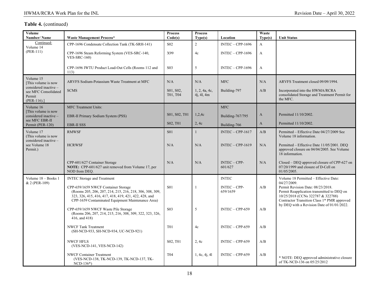| Volume<br>Number/Name                                                    | <b>Waste Management Process*</b>                                                                                                                                                                              | <b>Process</b><br>Code(s) | <b>Process</b><br>Type(s)   | Location                   | Waste<br>Type(s) | <b>Unit Status</b>                                                                                                                                                  |
|--------------------------------------------------------------------------|---------------------------------------------------------------------------------------------------------------------------------------------------------------------------------------------------------------|---------------------------|-----------------------------|----------------------------|------------------|---------------------------------------------------------------------------------------------------------------------------------------------------------------------|
| Continued:<br>Volume 14                                                  | CPP-1696 Condensate Collection Tank (TK-SRH-141)                                                                                                                                                              | S <sub>02</sub>           | 2                           | $INTEC - CPP-1696$         | $\mathbf{A}$     |                                                                                                                                                                     |
| $(PER-111)$                                                              | CPP-1696 Steam Reforming System (VES-SRC-140,<br>VES-SRC- $160$ )                                                                                                                                             | X99                       | 4c                          | $INTEC - CPP-1696$         | A                |                                                                                                                                                                     |
|                                                                          | CPP-1696 IWTU Product Load-Out Cells (Rooms 112 and<br>113)                                                                                                                                                   | S <sub>03</sub>           | 5                           | $INTEC - CPP-1696$         | A                |                                                                                                                                                                     |
| Volume 15<br>[This volume is now                                         | ARVFS Sodium-Potassium Waste Treatment at MFC                                                                                                                                                                 | N/A                       | N/A                         | <b>MFC</b>                 | N/A              | ARVFS Treatment closed 09/09/1994.                                                                                                                                  |
| considered inactive -<br>see MFC Consolidated<br>Permit<br>$(PER-116).]$ | <b>SCMS</b>                                                                                                                                                                                                   | S01, S02,<br>T01, T04     | 1, 2, 4a, 4c,<br>4i, 4l, 4m | Building-797               | A/B              | Incorporated into the HWMA/RCRA<br>consolidated Storage and Treatment Permit for<br>the MFC.                                                                        |
| Volume 16                                                                | <b>MFC</b> Treatment Units:                                                                                                                                                                                   |                           |                             | <b>MFC</b>                 |                  |                                                                                                                                                                     |
| [This volume is now<br>considered inactive -                             | EBR-II Primary Sodium System (PSS)                                                                                                                                                                            | S01, S02, T01             | 1,2,4c                      | Building-767/795           | $\mathbf{A}$     | Permitted 11/10/2002.                                                                                                                                               |
| see MFC EBR-II<br>Permit (PER-120)                                       | <b>EBR-II SSS</b>                                                                                                                                                                                             | S02, T01                  | 2, 4c                       | Building-766               | $\mathbf{A}$     | Permitted 11/10/2002.                                                                                                                                               |
| Volume 17<br>(This volume is now<br>considered inactive -                | <b>RMWSF</b>                                                                                                                                                                                                  | <b>S01</b>                | $\mathbf{1}$                | $INTEC - CPP-1617$         | A/B              | Permitted – Effective Date 04/27/2009 See<br>Volume 18 information.                                                                                                 |
| see Volume 18<br>Permit.)                                                | <b>HCRWSF</b>                                                                                                                                                                                                 | N/A                       | N/A                         | $INTEC - CPP-1619$         | N/A              | Permitted – Effective Date 11/05/2001. DEQ<br>approved closure on 04/04/2005. See Volume<br>18 information.                                                         |
|                                                                          | CPP-601/627 Container Storage<br>NOTE: CPP-601/627 unit removed from Volume 17, per<br>NOD from DEO.                                                                                                          | N/A                       | N/A                         | $INTEC - CPP-$<br>601/627  | N/A              | Closed - DEQ approved closure of CPP-627 on<br>07/20/1999 and closure of D-Cell on<br>$01/05/2005$ .                                                                |
| Volume 18 - Books 1<br>& 2 (PER-109)                                     | <b>INTEC Storage and Treatment</b>                                                                                                                                                                            |                           |                             | <b>INTEC</b>               |                  | Volume 18 Permitted - Effective Date:<br>04/27/2009.                                                                                                                |
|                                                                          | CPP-659/1659 NWCF Container Storage<br>(Rooms 205, 206, 207, 214, 215, 216, 218, 306, 308, 309,<br>323, 326, 415, 416, 417, 418, 419, 421, 422, 428, and<br>CPP-1659 Contaminated Equipment Maintenance Area) | <b>S01</b>                | $\mathbf{1}$                | $INTEC - CPP-$<br>659/1659 | A/B              | Permit Revision Date: 08/23/2018.<br>Permit Reapplication transmitted to DEQ on<br>10/25/2018 (CCNs 322787 & 322788)<br>Contractor Transition Class 1* PMR approved |
|                                                                          | CPP-659/1659 NWCF Waste Pile Storage<br>(Rooms 206, 207, 214, 215, 216, 308, 309, 322, 323, 326,<br>416, and 418)                                                                                             | S <sub>03</sub>           | 5                           | $INTEC - CPP-659$          | A/B              | by DEQ with a Revision Date of 01/01/2022.                                                                                                                          |
|                                                                          | <b>NWCF Tank Treatment</b><br>(SH-NCD-933, SH-NCD-934, UC-NCD-921)                                                                                                                                            | T <sub>0</sub> 1          | 4c                          | $INTEC - CPP-659$          | A/B              |                                                                                                                                                                     |
|                                                                          | <b>NWCF HFLS</b><br>(VES-NCD-141, VES-NCD-142)                                                                                                                                                                | S02, T01                  | 2, 4c                       | $INTEC - CPP-659$          | A/B              |                                                                                                                                                                     |
|                                                                          | <b>NWCF Container Treatment</b><br>(VES-NCD-138, TK-NCD-139, TK-NCD-137, TK-<br>$NCD-136*)$                                                                                                                   | T04                       | 1, 4c, 4j, 4l               | $INTEC - CPP-659$          | A/B              | * NOTE: DEQ approved administrative closure<br>of TK-NCD-136 on 05/25/2012                                                                                          |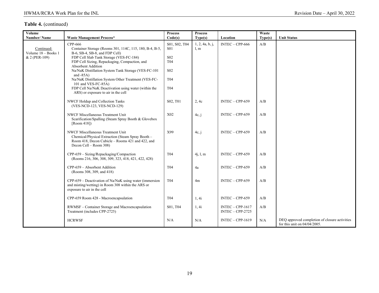| Volume<br>Number/Name                              | <b>Waste Management Process*</b>                                                                                                                                                                                                                                                                                                                                                                                                                                           | <b>Process</b><br>Code(s)                                                                          | <b>Process</b><br>Type(s) | Location                                 | Waste<br>Type(s) | <b>Unit Status</b>                                                               |
|----------------------------------------------------|----------------------------------------------------------------------------------------------------------------------------------------------------------------------------------------------------------------------------------------------------------------------------------------------------------------------------------------------------------------------------------------------------------------------------------------------------------------------------|----------------------------------------------------------------------------------------------------|---------------------------|------------------------------------------|------------------|----------------------------------------------------------------------------------|
| Continued:<br>Volume 18 - Books 1<br>& 2 (PER-109) | CPP-666<br>Container Storage (Rooms 301, 114C, 115, 180, B-4, B-5,<br>B-6, SB-4, SB-8, and FDP Cell)<br>FDP Cell Slab Tank Storage (VES-FC-184)<br>FDP Cell Sizing, Repackaging, Compaction, and<br>Absorbent Addition<br>Na/NaK Distillation System Tank Storage (VES-FC-101<br>and $-85A$ )<br>Na/NaK Distillation System Other Treatment (VES-FC-<br>101 and VES-FC-85A)<br>FDP Cell Na/NaK Deactivation using water (within the<br>ARS) or exposure to air in the cell | S01, S02, T04<br>S <sub>01</sub><br>S <sub>02</sub><br>T <sub>04</sub><br><b>S02</b><br>T04<br>T04 | 1, 2, 4a, b, j,<br>l, m   | $INTEC - CPP-666$                        | A/B              |                                                                                  |
|                                                    | NWCF Holdup and Collection Tanks<br>(VES-NCD-123, VES-NCD-129)                                                                                                                                                                                                                                                                                                                                                                                                             | S02, T01                                                                                           | 2, 4c                     | $INTEC - CPP-659$                        | A/B              |                                                                                  |
|                                                    | NWCF Miscellaneous Treatment Unit<br>Scarification/Spalling (Steam Spray Booth & Glovebox<br>[Room 418]                                                                                                                                                                                                                                                                                                                                                                    | X02                                                                                                | 4c, j                     | $INTEC - CPP-659$                        | A/B              |                                                                                  |
|                                                    | NWCF Miscellaneous Treatment Unit<br>Chemical/Physical Extraction (Steam Spray Booth -<br>Room 418, Decon Cubicle – Rooms 421 and 422, and<br>Decon Cell - Room 308)                                                                                                                                                                                                                                                                                                       | X99                                                                                                | 4c, j                     | $INTEC - CPP-659$                        | A/B              |                                                                                  |
|                                                    | CPP-659 - Sizing/Repackaging/Compaction<br>(Rooms 216, 306, 308, 309, 323, 418, 421, 422, 428)                                                                                                                                                                                                                                                                                                                                                                             | T04                                                                                                | 4j, 1, m                  | $INTEC - CPP-659$                        | A/B              |                                                                                  |
|                                                    | CPP-659 - Absorbent Addition<br>(Rooms 308, 309, and 418)                                                                                                                                                                                                                                                                                                                                                                                                                  | T <sub>04</sub>                                                                                    | 4a                        | $INTEC - CPP-659$                        | A/B              |                                                                                  |
|                                                    | CPP-659 – Deactivation of Na/NaK using water (immersion<br>and misting/wetting) in Room 308 within the ARS or<br>exposure to air in the cell                                                                                                                                                                                                                                                                                                                               | T <sub>04</sub>                                                                                    | 4m                        | $INTEC - CPP-659$                        | A/B              |                                                                                  |
|                                                    | CPP-659 Room 428 - Macroencapsulation                                                                                                                                                                                                                                                                                                                                                                                                                                      | T <sub>04</sub>                                                                                    | 1, 4i                     | $INTEC - CPP-659$                        | A/B              |                                                                                  |
|                                                    | RWMSF - Container Storage and Macroencapsulation<br>Treatment (includes CPP-2725)                                                                                                                                                                                                                                                                                                                                                                                          | S01, T04                                                                                           | 1, 4i                     | $INTEC - CPP-1617$<br>$INTEC - CPP-2725$ | A/B              |                                                                                  |
|                                                    | <b>HCRWSF</b>                                                                                                                                                                                                                                                                                                                                                                                                                                                              | N/A                                                                                                | N/A                       | $INTEC - CPP-1619$                       | N/A              | DEQ approved completion of closure activities<br>for this unit on $04/04/2005$ . |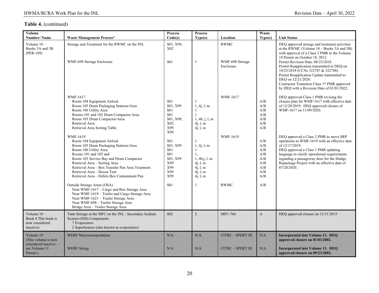| Volume<br><b>Number/Name</b>                                                           | <b>Waste Management Process*</b>                                                                                                                                                                                                                                                                                                                | <b>Process</b><br>Code(s)                                                                  | <b>Process</b><br>Type(s)                                                                                   | Location                                      | Waste<br>Type(s)                                            | <b>Unit Status</b>                                                                                                                                                                                                                                                                                                                                                                                                                                                                  |
|----------------------------------------------------------------------------------------|-------------------------------------------------------------------------------------------------------------------------------------------------------------------------------------------------------------------------------------------------------------------------------------------------------------------------------------------------|--------------------------------------------------------------------------------------------|-------------------------------------------------------------------------------------------------------------|-----------------------------------------------|-------------------------------------------------------------|-------------------------------------------------------------------------------------------------------------------------------------------------------------------------------------------------------------------------------------------------------------------------------------------------------------------------------------------------------------------------------------------------------------------------------------------------------------------------------------|
| Volume $18 -$<br>Books 3A and 3B<br>(PER-109)                                          | Storage and Treatment for the RWMC on the INL<br>WMF-698 Storage Enclosure                                                                                                                                                                                                                                                                      | S01, X99,<br>X02<br><b>S01</b>                                                             |                                                                                                             | <b>RWMC</b><br>WMF-698 Storage<br>Enclosure   |                                                             | DEQ approved storage and treatment activities<br>at the RWMC (Volume $18 - \text{Books } 3A$ and $3B$ )<br>with approval of a Class 2 PMR to the Volume<br>18 Permit on October 18, 2012.<br>Permit Revision Date: 08/23/2018.<br>Permit Reapplication transmitted to DEQ on<br>10/25/2018 (CCNs 322787 & 322788).<br>Permit Reapplication Update transmitted to<br>DEQ on 12/21/2020.<br>Contractor Transition Class 1* PMR approved<br>by DEQ with a Revision Date of 01/01/2022. |
|                                                                                        | WMF-1617<br>Room 104 Equipment Airlock<br>Room 105 Drum Packaging Stations/Area<br>Room 106 Utility Area<br>Rooms 101 and 102 Drum Compactor Area<br>Room 103 Drum Compactor/Area<br>Retrieval Area<br>Retrieval Area Sorting Table                                                                                                             | <b>S01</b><br>S01, X99<br><b>S01</b><br><b>S01</b><br>S01, X99,<br>X02<br>X99<br>X99       | 1, 4j, 1, m<br>$\mathbf{1}$<br>1, 4b, j, l, m<br>4j, l, m<br>4j, 1, m                                       | <b>WMF-1617</b>                               | A/B<br>A/B<br>A/B<br>A/B<br>A/B<br>A/B<br>A/B               | DEQ approved Class 1 PMR revising the<br>closure plan for WMF-1617 with effective date<br>of 12/20/2019. DEO approved closure of<br>WMF-1617 on 11/09/2020.                                                                                                                                                                                                                                                                                                                         |
|                                                                                        | WMF-1619<br>Room 104 Equipment Airlock<br>Room 105 Drum Packaging Stations/Area<br>Room 106 Utility Area<br>Rooms 101 and 102 and<br>Room 103 Service Bay and Drum Compactor<br>Retrieval Area - Sorting Area<br>Retrieval Area - Box Transfer Pan Area Treatment<br>Retrieval Area - Decon Tent<br>Retrieval Area - Debris Box Containment Pan | <b>S01</b><br>S01, X99<br><b>S01</b><br><b>S01</b><br>S01. X99<br>X99<br>X99<br>X99<br>X99 | $\overline{1}$<br>1, 4j, 1, m<br>-1<br>1,<br>1, 4b, j, 1, m<br>4j, l, m<br>4i, 1, m<br>4j, l, m<br>4j, 1, m | <b>WMF-1619</b>                               | A/B<br>A/B<br>A/B<br>A/B<br>A/B<br>A/B<br>A/B<br>A/B<br>A/B | DEO approved a Class 2 PMR to move SRP<br>operations to WMF-1619 with an effective date<br>of 12/17/2019.<br>DEQ approved a Class 1 PMR updating<br>language to clarify operational requirements<br>regarding a passageway door for the Sludge<br>Repackage Project with an effective date of<br>07/20/2020.                                                                                                                                                                        |
|                                                                                        | Outside Storage Areas (OSA)<br>Near WMF-1617 - Cargo and Box Storage Area<br>Near WMF-1619 - Trailer and Cargo Storage Area<br>Near WMF-1621 - Trailer Storage Area<br>Near WMF-698 - Trailer Storage Area<br>Bridge Area - Trailer Storage Area                                                                                                | <b>S01</b>                                                                                 |                                                                                                             | <b>RWMC</b>                                   | A/B                                                         |                                                                                                                                                                                                                                                                                                                                                                                                                                                                                     |
| Volume $18-$<br>Book 4 This book is<br>now considered<br>inactive)                     | Tank Storage at the MFC on the INL - Secondary Sodium<br>System (SSS) Components<br>7 Evaporators<br>2 Superheaters (also known as evaporators)                                                                                                                                                                                                 | S <sub>02</sub>                                                                            | 2                                                                                                           | <b>MFC-766</b>                                | $\overline{A}$                                              | DEQ approved closure on 12/31/2015                                                                                                                                                                                                                                                                                                                                                                                                                                                  |
| Volume 19<br>(This volume is now<br>considered inactive -<br>see Volume 11<br>Permit.) | WERF Macroencapsulation<br><b>WERF Sizing</b>                                                                                                                                                                                                                                                                                                   | N/A<br>N/A                                                                                 | N/A<br>N/A                                                                                                  | <b>CITRC - SPERT III</b><br>CITRC - SPERT III | N/A<br>N/A                                                  | <b>Incorporated into Volume 11. DEQ</b><br>approved closure on 01/03/2002.<br>Incorporated into Volume 11. DEQ<br>approved closure on 09/23/2002.                                                                                                                                                                                                                                                                                                                                   |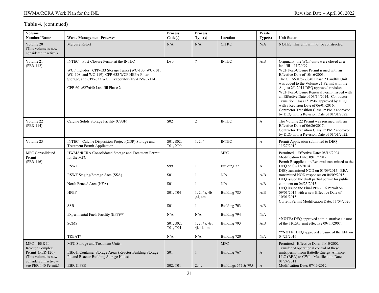| Volume<br>Number/Name                                                                                                         | <b>Waste Management Process*</b>                                                                                                                                                                                                          | <b>Process</b><br>Code(s)            | <b>Process</b><br>Type(s)          | Location                                          | Waste<br>Type(s)  | <b>Unit Status</b>                                                                                                                                                                                                                                                                                                                                                                                                                                                                                                                                              |
|-------------------------------------------------------------------------------------------------------------------------------|-------------------------------------------------------------------------------------------------------------------------------------------------------------------------------------------------------------------------------------------|--------------------------------------|------------------------------------|---------------------------------------------------|-------------------|-----------------------------------------------------------------------------------------------------------------------------------------------------------------------------------------------------------------------------------------------------------------------------------------------------------------------------------------------------------------------------------------------------------------------------------------------------------------------------------------------------------------------------------------------------------------|
| Volume 20<br>(This volume is now<br>considered inactive.)                                                                     | Mercury Retort                                                                                                                                                                                                                            | N/A                                  | N/A                                | <b>CITRC</b>                                      | N/A               | NOTE: This unit will not be constructed.                                                                                                                                                                                                                                                                                                                                                                                                                                                                                                                        |
| Volume 21<br>$(PER-112)$                                                                                                      | INTEC - Post-Closure Permit at the INTEC<br>WCF includes: CPP-633 Storage Tanks (WC-100, WC-101,<br>WC-108, and WC-119), CPP-633 WCF HEPA Filter<br>Storage, and CPP-633 WCF Evaporator (EVAP-WC-114)<br>CPP-601/627/640 Landfill Phase 2 | D80                                  | $\overline{7}$                     | <b>INTEC</b>                                      | A/B               | Originally, the WCF units were closed as a<br>$landfill-11/20/99.$<br>WCF Post-Closure Permit issued with an<br>Effective Date of 10/16/2003.<br>The CPP-601/627/640 Phase 2 Landfill Unit<br>was added to the Volume 21 Permit with the<br>August 25, 2011 DEQ approved revision.<br>WCF Post-Closure Renewal Permit issued with<br>an Effective Date of 03/14/2014. Contractor<br>Transition Class 1* PMR approved by DEQ<br>with a Revision Date of 06/01/2016.<br>Contractor Transition Class 1* PMR approved<br>by DEQ with a Revision Date of 01/01/2022. |
| Volume 22<br>$(PER-114)$                                                                                                      | Calcine Solids Storage Facility (CSSF)                                                                                                                                                                                                    | S <sub>02</sub>                      | $\overline{2}$                     | <b>INTEC</b>                                      | $\boldsymbol{A}$  | The Volume 22 Permit was reissued with an<br>Effective Date of 06/26/2017.<br>Contractor Transition Class 1* PMR approved<br>by DEQ with a Revision Date of 01/01/2022.                                                                                                                                                                                                                                                                                                                                                                                         |
| Volume 23                                                                                                                     | INTEC - Calcine Disposition Project (CDP) Storage and<br><b>Treatment Permit Application</b>                                                                                                                                              | S01, S02,<br>T01, X99                | 1, 2, 4                            | <b>INTEC</b>                                      | $\overline{A}$    | Permit Application submitted to DEQ<br>11/27/2012.                                                                                                                                                                                                                                                                                                                                                                                                                                                                                                              |
| <b>MFC</b> Consolidated<br>Permit<br>$(PER-116)$                                                                              | HWMA/RCRA Consolidated Storage and Treatment Permit<br>for the MFC<br><b>RSWF</b><br>RSWF Staging/Storage Area (SSA)                                                                                                                      | S99<br><b>S01</b>                    |                                    | <b>MFC</b><br>Building 771<br>N/A                 | A<br>A/B          | Permitted - Effective Date: 08/16/2004.<br>Modification Date: 09/17/2012.<br>Permit Reapplication/Renewal transmitted to the<br>DEO on 02/13/2014.<br>DEQ transmitted NOD on 01/09/2015. BEA<br>transmitted NOD responses on 04/09/2015.                                                                                                                                                                                                                                                                                                                        |
|                                                                                                                               | North Fenced Area (NFA)<br><b>HFEF</b><br><b>SSB</b>                                                                                                                                                                                      | <b>S01</b><br>S01, T04<br><b>S01</b> | 1, 2, 4a, 4b<br>,41,4m             | N/A<br>Building 785<br>Building 703               | A/B<br>A/B<br>A/B | DEQ issued the draft partial permit for public<br>comment on 06/23/2015.<br>DEO issued the Final PER-116 Permit on<br>09/01/2015 with a new Effective Date of<br>10/01/2015.<br>Current Permit Modification Date: 11/04/2020.                                                                                                                                                                                                                                                                                                                                   |
|                                                                                                                               | Experimental Fuels Facility (EFF)**<br><b>SCMS</b>                                                                                                                                                                                        | N/A<br>S01, S02,<br>T01, T04         | N/A<br>1, 2, 4a, 4c,<br>4i, 4l, 4m | Building 794<br>Building 793                      | N/A<br>A/B        | *NOTE: DEQ approved administrative closure<br>of the TREAT unit effective 09/11/2007.                                                                                                                                                                                                                                                                                                                                                                                                                                                                           |
|                                                                                                                               | TREAT*                                                                                                                                                                                                                                    | N/A                                  | N/A                                | Building 720                                      | N/A               | **NOTE: DEQ approved closure of the EFF on<br>04/21/2016.                                                                                                                                                                                                                                                                                                                                                                                                                                                                                                       |
| $MFC - EBR$ II<br>Reactor Complex<br>Permit (PER-120)<br>(This volume is now<br>considered inactive -<br>see PER-140 Permit.) | MFC Storage and Treatment Units:<br>EBR-II Container Storage Areas (Reactor Building Storage<br>Pit and Reactor Building Storage Holes)<br><b>EBR-II PSS</b>                                                                              | S <sub>01</sub><br>S02, T01          | 2, 4c                              | <b>MFC</b><br>Building 767<br>Buildings 767 & 795 | A<br>$\mathbf{A}$ | Permitted - Effective Date: 11/10/2002.<br>Transfer of operational control of these<br>units/permit from Battelle Energy Alliance,<br>LLC (BEA) to CWI - Modification Date:<br>01/24/2011.<br>Modification Date: 07/13/2012                                                                                                                                                                                                                                                                                                                                     |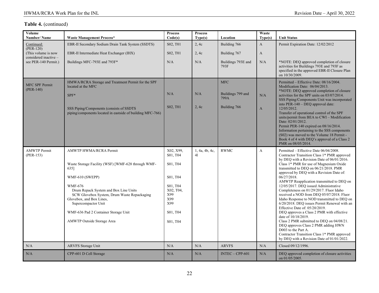| Volume<br>Number/Name                         | <b>Waste Management Process*</b>                                                                                                                                                                                                                                                                                                           | <b>Process</b><br>Code(s)                                                                                           | <b>Process</b><br>Type(s) | Location                                                | Waste<br>Type(s)    | <b>Unit Status</b>                                                                                                                                                                                                                                                                                                                                                                                                                                                                                                                                                                                                                                                                                                                                                                                                                                                            |
|-----------------------------------------------|--------------------------------------------------------------------------------------------------------------------------------------------------------------------------------------------------------------------------------------------------------------------------------------------------------------------------------------------|---------------------------------------------------------------------------------------------------------------------|---------------------------|---------------------------------------------------------|---------------------|-------------------------------------------------------------------------------------------------------------------------------------------------------------------------------------------------------------------------------------------------------------------------------------------------------------------------------------------------------------------------------------------------------------------------------------------------------------------------------------------------------------------------------------------------------------------------------------------------------------------------------------------------------------------------------------------------------------------------------------------------------------------------------------------------------------------------------------------------------------------------------|
| Continued:                                    | EBR-II Secondary Sodium Drain Tank System (SSDTS)                                                                                                                                                                                                                                                                                          | S02, T01                                                                                                            | 2, 4c                     | Building 766                                            | $\mathbf{A}$        | Permit Expiration Date: 12/02/2012                                                                                                                                                                                                                                                                                                                                                                                                                                                                                                                                                                                                                                                                                                                                                                                                                                            |
| $(PER-120)$<br>(This volume is now            | EBR-II Intermediate Heat Exchanger (IHX)                                                                                                                                                                                                                                                                                                   | S <sub>02</sub> , T <sub>01</sub>                                                                                   | 2, 4c                     | Building 767                                            | A                   |                                                                                                                                                                                                                                                                                                                                                                                                                                                                                                                                                                                                                                                                                                                                                                                                                                                                               |
| considered inactive -<br>see PER-140 Permit.) | Buildings MFC-793E and 793F*                                                                                                                                                                                                                                                                                                               | N/A                                                                                                                 | N/A                       | Buildings 793E and<br>793F                              | N/A                 | *NOTE: DEQ approved completion of closure<br>activities for Buildings 793E and 793F as<br>specified in the approved EBR-II Closure Plan<br>on 10/30/2009.                                                                                                                                                                                                                                                                                                                                                                                                                                                                                                                                                                                                                                                                                                                     |
| MFC SPF Permit<br>$(PER-140)$                 | HMWA/RCRA Storage and Treatment Permit for the SPF<br>located at the MFC<br>$SPF*$<br>SSS Piping/Components (consists of SSDTS<br>piping/components located in eastside of building MFC-766)                                                                                                                                               | N/A<br>S <sub>02</sub> , T <sub>01</sub>                                                                            | N/A<br>2, 4c              | <b>MFC</b><br>Buildings 799 and<br>799A<br>Building 766 | N/A<br>$\mathbf{A}$ | Permitted - Effective Date: 08/16/2004.<br>Modification Date: 06/04/2013.<br>*NOTE: DEQ approved completion of closure<br>activities for the SPF units on 03/07/2014.<br>SSS Piping/Components Unit was incorporated<br>into PER-140 - DEQ approval date:<br>12/05/2012.<br>Transfer of operational control of the SPF<br>units/permit from BEA to CWI - Modification<br>Date: 02/01/2012.<br>Permit PER-140 expired on 08/16/2014.<br>Information pertaining to the SSS components<br>(S02) was moved to the Volume 18 Permit -<br>Book 4 of 4 with DEQ's approval of a Class 2<br>PMR on 08/05/2014.                                                                                                                                                                                                                                                                        |
| <b>AMWTP Permit</b><br>$(PER-153)$            | AMWTP HWMA/RCRA Permit<br>Waste Storage Facility (WSF) [WMF-628 through WMF-<br>635]<br>WMF-610 (SWEPP)<br><b>WMF-676</b><br>Drum Repack System and Box Line Units<br>SCW Glovebox System, Drum Waste Repackaging<br>Glovebox, and Box Lines,<br>Supercompactor Unit<br>WMF-636 Pad 2 Container Storage Unit<br>AMWTP Outside Storage Area | X02, X99,<br>S01, T04<br>S01, T04<br>S01, T04<br>S01, T04<br>X02, T04,<br>X99<br>X99<br>X99<br>S01, T04<br>S01, T04 | 1, 4a, 4b, 4c,<br>41      | <b>RWMC</b>                                             | $\mathbf{A}$        | Permitted - Effective Date 06/04/2008.<br>Contractor Transition Class 1* PMR approved<br>by DEQ with a Revision Date of 06/01/2016.<br>Class 1* PMR for use of Magnesium Oxide<br>transmitted to DEQ on 06/21/2018. PMR<br>approved by DEQ with a Revision Date of:<br>06/27/2018.<br>AMWTP Reapplication transmitted to DEQ on<br>12/05/2017. DEQ issued Administrative<br>Completeness on 01/29/2017. Fluor Idaho<br>received a NOD from DEQ 05/07/2018. Fluor<br>Idaho Response to NOD transmitted to DEQ on<br>6/20/2018. DEQ issues Permit Renewal with an<br>Effective Date of: 05/20/2019.<br>DEQ approves a Class 2 PMR with effective<br>date of 10/18/2019.<br>Class 2 PMR submitted to DEQ on 04/08/21.<br>DEQ approves Class 2 PMR adding HWN<br>D003 to the Part A.<br>Contractor Transition Class 1* PMR approved<br>by DEQ with a Revision Date of 01/01/2022. |
| N/A                                           | ARVFS Storage Unit                                                                                                                                                                                                                                                                                                                         | N/A                                                                                                                 | N/A                       | <b>ARVFS</b>                                            | N/A                 | Closed 09/12/1996.                                                                                                                                                                                                                                                                                                                                                                                                                                                                                                                                                                                                                                                                                                                                                                                                                                                            |
| N/A                                           | CPP-601 D Cell Storage                                                                                                                                                                                                                                                                                                                     | N/A                                                                                                                 | N/A                       | $INTEC - CPP-601$                                       | N/A                 | DEQ approved completion of closure activities<br>on 01/05/2005.                                                                                                                                                                                                                                                                                                                                                                                                                                                                                                                                                                                                                                                                                                                                                                                                               |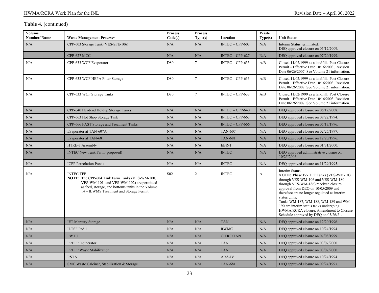| Volume<br>Number/Name | <b>Waste Management Process*</b>                                                                                                                                                                                        | <b>Process</b><br>Code(s) | <b>Process</b><br>Type(s) | Location          | Waste<br>Type(s) | <b>Unit Status</b>                                                                                                                                                                                                                                                                                                                                                                                                           |  |
|-----------------------|-------------------------------------------------------------------------------------------------------------------------------------------------------------------------------------------------------------------------|---------------------------|---------------------------|-------------------|------------------|------------------------------------------------------------------------------------------------------------------------------------------------------------------------------------------------------------------------------------------------------------------------------------------------------------------------------------------------------------------------------------------------------------------------------|--|
| N/A                   | CPP-603 Storage Tank (VES-SFE-106)                                                                                                                                                                                      | N/A                       | N/A                       | $INTEC - CPP-603$ | N/A              | Interim Status terminated.<br>DEQ approved closure on 05/12/2009.                                                                                                                                                                                                                                                                                                                                                            |  |
|                       | CPP-627 MCC                                                                                                                                                                                                             | N/A                       | N/A                       | $INTEC - CPP-627$ | N/A              | DEQ approved closure on 07/20/1999.                                                                                                                                                                                                                                                                                                                                                                                          |  |
| N/A                   | CPP-633 WCF Evaporator                                                                                                                                                                                                  | D80                       | $\tau$                    | $INTEC - CPP-633$ | A/B              | Closed 11/02/1999 as a landfill. Post Closure<br>Permit – Effective Date 10/16/2003, Revision<br>Date 06/26/2007. See Volume 21 information.                                                                                                                                                                                                                                                                                 |  |
| N/A                   | CPP-633 WCF HEPA Filter Storage                                                                                                                                                                                         | D80                       | $\tau$                    | $INTEC - CPP-633$ | A/B              | Closed 11/02/1999 as a landfill. Post Closure<br>Permit – Effective Date 10/16/2003, Revision<br>Date 06/26/2007. See Volume 21 information.                                                                                                                                                                                                                                                                                 |  |
| N/A                   | CPP-633 WCF Storage Tanks                                                                                                                                                                                               | D80                       | $\tau$                    | $INTEC - CPP-633$ | A/B              | Closed 11/02/1999 as a landfill. Post Closure<br>Permit – Effective Date 10/16/2003, Revision<br>Date 06/26/2007. See Volume 21 information.                                                                                                                                                                                                                                                                                 |  |
| N/A                   | CPP-640 Headend Holdup Storage Tanks                                                                                                                                                                                    | N/A                       | N/A                       | $INTEC - CPP-640$ | N/A              | DEQ approved closure on 06/12/2008.                                                                                                                                                                                                                                                                                                                                                                                          |  |
| N/A                   | CPP-663 Hot Shop Storage Tank                                                                                                                                                                                           | N/A                       | N/A                       | $INTEC - CPP-663$ | N/A              | DEQ approved closure on 08/22/1994.                                                                                                                                                                                                                                                                                                                                                                                          |  |
| N/A                   | CPP-666 FAST Storage and Treatment Tanks                                                                                                                                                                                | N/A                       | N/A                       | $INTEC - CPP-666$ | N/A              | DEQ approved closure on 05/13/1996.                                                                                                                                                                                                                                                                                                                                                                                          |  |
| N/A                   | Evaporator at TAN-607A                                                                                                                                                                                                  | N/A                       | N/A                       | <b>TAN-607</b>    | N/A              | DEQ approved closure on 02/25/1997.                                                                                                                                                                                                                                                                                                                                                                                          |  |
| N/A                   | Evaporator at TAN-681                                                                                                                                                                                                   | N/A                       | N/A                       | <b>TAN-681</b>    | N/A              | DEQ approved closure on 12/20/1996.                                                                                                                                                                                                                                                                                                                                                                                          |  |
| N/A                   | HTRE-3 Assembly                                                                                                                                                                                                         | N/A                       | N/A                       | EBR-1             | N/A              | DEQ approved closure on 01/31/2000.                                                                                                                                                                                                                                                                                                                                                                                          |  |
| N/A                   | <b>INTEC New Tank Farm (proposed)</b>                                                                                                                                                                                   | N/A                       | N/A                       | <b>INTEC</b>      | N/A              | DEQ approved administrative closure on<br>10/25/2006.                                                                                                                                                                                                                                                                                                                                                                        |  |
| N/A                   | <b>ICPP</b> Percolation Ponds                                                                                                                                                                                           | N/A                       | N/A                       | <b>INTEC</b>      | N/A              | DEQ approved closure on 11/29/1995.                                                                                                                                                                                                                                                                                                                                                                                          |  |
| N/A                   | <b>INTEC TFF</b><br><b>NOTE:</b> The CPP-604 Tank Farm Tanks (VES-WM-100,<br>VES-WM-101, and VES-WM-102) are permitted<br>as feed, storage, and bottoms tanks in the Volume<br>14 – ILWMS Treatment and Storage Permit. | S <sub>0</sub> 2          | 2                         | <b>INTEC</b>      | $\mathbf{A}$     | Interim Status.<br><b>NOTE:</b> Phase IV- TFF Tanks (VES-WM-103)<br>through VES-WM-106 and VES-WM-180<br>through VES-WM-186) received closure<br>approval from DEQ on 10/05/2009 and<br>therefore are no longer regulated as interim<br>status units.<br>Tanks WM-187, WM-188, WM-189 and WM-<br>190 are interim status tanks undergoing<br>HWMA/RCRA closure. Amendment to Closure<br>Schedule approved by DEQ on 03/26/21. |  |
| N/A                   | <b>IET Mercury Storage</b>                                                                                                                                                                                              | N/A                       | N/A                       | <b>TAN</b>        | N/A              | DEQ approved closure on 12/20/1996.                                                                                                                                                                                                                                                                                                                                                                                          |  |
| N/A                   | <b>ILTSF Pad 1</b>                                                                                                                                                                                                      | N/A                       | N/A                       | <b>RWMC</b>       | N/A              | DEQ approved closure on 10/24/1994.                                                                                                                                                                                                                                                                                                                                                                                          |  |
| N/A                   | <b>PWTU</b>                                                                                                                                                                                                             | N/A                       | N/A                       | CITRC/TAN         | N/A              | DEQ approved closure on 07/08/1999.                                                                                                                                                                                                                                                                                                                                                                                          |  |
| N/A                   | <b>PREPP</b> Incinerator                                                                                                                                                                                                | N/A                       | N/A                       | <b>TAN</b>        | N/A              | DEQ approved closure on 03/07/2000.                                                                                                                                                                                                                                                                                                                                                                                          |  |
| N/A                   | <b>PREPP Waste Stabilization</b>                                                                                                                                                                                        | N/A                       | N/A                       | <b>TAN</b>        | N/A              | DEQ approved closure on 03/07/2000.                                                                                                                                                                                                                                                                                                                                                                                          |  |
| N/A                   | <b>RSTA</b>                                                                                                                                                                                                             | N/A                       | N/A                       | ARA-IV            | N/A              | DEQ approved closure on 10/24/1994.                                                                                                                                                                                                                                                                                                                                                                                          |  |
| N/A                   | SMC Waste Calciner, Stabilization & Storage                                                                                                                                                                             | N/A                       | N/A                       | <b>TAN-681</b>    | N/A              | DEQ approved closure on 09/24/1997.                                                                                                                                                                                                                                                                                                                                                                                          |  |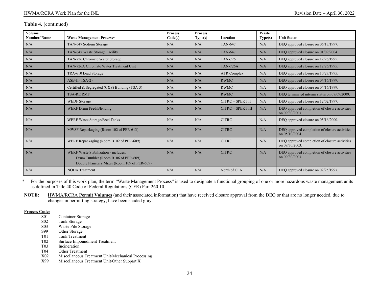| Volume<br>Number/Name | <b>Waste Management Process*</b>                                                                                            | <b>Process</b><br>Code(s) | <b>Process</b><br>Type(s) | Location                 | Waste<br>Type(s) | <b>Unit Status</b>                                                 |
|-----------------------|-----------------------------------------------------------------------------------------------------------------------------|---------------------------|---------------------------|--------------------------|------------------|--------------------------------------------------------------------|
| N/A                   | TAN-647 Sodium Storage                                                                                                      | N/A                       | N/A                       | <b>TAN-647</b>           | N/A              | DEO approved closure on 06/13/1997.                                |
| N/A                   | TAN-647 Waste Storage Facility                                                                                              | N/A                       | N/A                       | <b>TAN-647</b>           | N/A              | DEQ approved closure on 01/09/2004.                                |
| N/A                   | TAN-726 Chromate Water Storage                                                                                              | N/A                       | N/A                       | <b>TAN-726</b>           | N/A              | DEO approved closure on 12/26/1995.                                |
| N/A                   | TAN-726A Chromate Water Treatment Unit                                                                                      | N/A                       | N/A                       | <b>TAN-726A</b>          | N/A              | DEQ approved closure on 12/26/1995.                                |
| N/A                   | TRA-610 Lead Storage                                                                                                        | N/A                       | N/A                       | <b>ATR Complex</b>       | N/A              | DEQ approved closure on 10/27/1995.                                |
| N/A                   | $ASB-II(TSA-2)$                                                                                                             | N/A                       | N/A                       | <b>RWMC</b>              | N/A              | DEO approved closure on 04/16/1999.                                |
| N/A                   | Certified & Segregated (C&S) Building (TSA-3)                                                                               | N/A                       | N/A                       | <b>RWMC</b>              | N/A              | DEO approved closure on 04/16/1999.                                |
| N/A                   | <b>TSA-RE RMF</b>                                                                                                           | N/A                       | N/A                       | <b>RWMC</b>              | N/A              | DEO terminated interim status on 07/09/2009.                       |
| N/A                   | <b>WEDF</b> Storage                                                                                                         | N/A                       | N/A                       | CITRC - SPERT II         | N/A              | DEQ approved closure on 12/02/1997.                                |
| N/A                   | WERF Drum Feed/Blending                                                                                                     | N/A                       | N/A                       | <b>CITRC - SPERT III</b> | N/A              | DEO approved completion of closure activities<br>on 09/30/2003.    |
| N/A                   | WERF Waste Storage/Feed Tanks                                                                                               | N/A                       | N/A                       | <b>CITRC</b>             | N/A              | DEQ approved closure on 05/16/2000.                                |
| N/A                   | MWSF Repackaging (Room 102 of PER-613)                                                                                      | N/A                       | N/A                       | <b>CITRC</b>             | N/A              | DEQ approved completion of closure activities<br>on $05/10/2004$ . |
| N/A                   | WERF Repackaging (Room B102 of PER-609)                                                                                     | N/A                       | N/A                       | <b>CITRC</b>             | N/A              | DEQ approved completion of closure activities<br>on 09/30/2003.    |
| N/A                   | WERF Waste Stabilization - includes:<br>Drum Tumbler (Room B106 of PER-609)<br>Double Planetary Mixer (Room 109 of PER-609) | N/A                       | N/A                       | <b>CITRC</b>             | N/A              | DEQ approved completion of closure activities<br>on 09/30/2003.    |
| N/A                   | <b>NODA</b> Treatment                                                                                                       | N/A                       | N/A                       | North of CFA             | N/A              | DEQ approved closure on 02/25/1997.                                |

\* For the purposes of this work plan, the term "Waste Management Process" is used to designate a functional grouping of one or more hazardous waste management units as defined in Title 40 Code of Federal Regulations (CFR) Part 260.10.

**NOTE:** HWMA/RCRA **Permit Volumes** (and their associated information) that have received closure approval from the DEQ or that are no longer needed, due to changes in permitting strategy, have been shaded gray.

#### **Process Codes**

- S01 Container Storage<br>S02 Tank Storage
- S02 Tank Storage<br>S03 Waste Pile Sto
- Waste Pile Storage
- S99 Other Storage
- T01 Tank Treatment
- T02 Surface Impoundment Treatment<br>T03 Incineration
- T03 Incineration<br>T04 Other Treatn
- Other Treatment
- X02 Miscellaneous Treatment Unit/Mechanical Processing
- X99 Miscellaneous Treatment Unit/Other Subpart X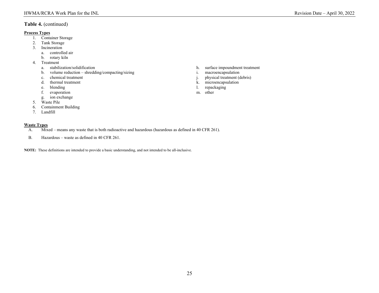#### **Process Types**

- 1. Container Storage<br>2. Tank Storage
- Tank Storage
- 3. Incineration
	- a. controlled air
	- b. rotary kiln
- 
- 4. Treatment<br>a. stabilization/solidification
	- b. volume reduction shredding/compacting/sizing i. macroencapsulation
	-
	-
	-
	- f. evaporation
	- g. ion exchange
- 5. Waste Pile
- 6. Containment Building
- 7. Landfill

#### **Waste Types**

- A. Mixed means any waste that is both radioactive and hazardous (hazardous as defined in 40 CFR 261).
- B. Hazardous waste as defined in 40 CFR 261.

**NOTE:** These definitions are intended to provide a basic understanding, and not intended to be all-inclusive.

- h. surface impoundment treatment
- 
- c. chemical treatment j. physical treatment (debris)
- d. thermal treatment k. microencapsulation k. microencapsulation
- e. blending 1. repackaging 1. repackaging 1. repackaging 1. repackaging 1. repackaging 1. repackaging 1. repackaging 1. repackaging 1. repackaging 1. repackaging 1. repackaging 1. repackaging 1. repackaging 1. repackaging
	-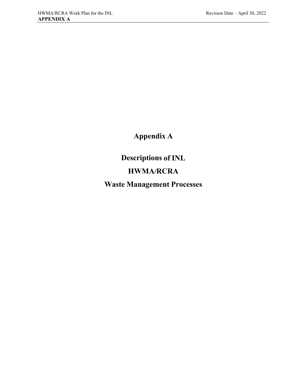**Appendix A**

**Descriptions of INL**

# **HWMA/RCRA**

**Waste Management Processes**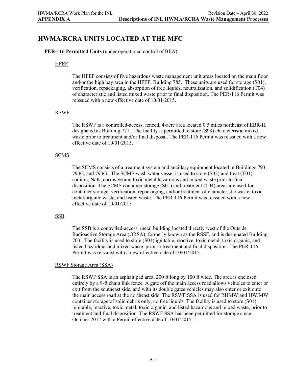# **HWMA/RCRA UNITS LOCATED AT THE MFC**

#### **PER-116 Permitted Units** (under operational control of BEA)

#### HFEF

The HFEF consists of five hazardous waste management unit areas located on the main floor and/or the high bay area in the HFEF, Building 785. These units are used for storage (S01), verification, repackaging, absorption of free liquids, neutralization, and solidification (T04) of characteristic and listed mixed waste prior to final disposition. The PER-116 Permit was reissued with a new effective date of 10/01/2015.

#### RSWF

The RSWF is a controlled-access, fenced, 4-acre area located 0.5 miles northeast of EBR-II, designated as Building 771. The facility is permitted to store (S99) characteristic mixed waste prior to treatment and/or final disposal. The PER-116 Permit was reissued with a new effective date of 10/01/2015.

#### **SCMS**

The SCMS consists of a treatment system and ancillary equipment located in Buildings 793, 793C, and 793G. The SCMS wash water vessel is used to store (S02) and treat (T01) sodium, NaK, corrosive and toxic metal hazardous and mixed waste prior to final disposition. The SCMS container storage (S01) and treatment (T04) areas are used for container storage, verification, repackaging, and/or treatment of characteristic waste, toxic metal/organic waste, and listed waste. The PER-116 Permit was reissued with a new effective date of 10/01/2015

#### SSB

The SSB is a controlled-access, metal building located directly west of the Outside Radioactive Storage Area (ORSA), formerly known as the RSSF, and is designated Building 703. The facility is used to store (S01) ignitable, reactive, toxic metal, toxic organic, and listed hazardous and mixed waste, prior to treatment and final disposition. The PER-116 Permit was reissued with a new effective date of 10/01/2015.

#### RSWF Storage Area (SSA)

The RSWF SSA is an asphalt pad area, 200 ft long by 100 ft wide. The area is enclosed entirely by a 9-ft chain link fence. A gate off the main access road allows vehicles to enter or exit from the southeast side, and with its double gates vehicles may also enter or exit onto the main access road at the northeast side. The RSWF SSA is used for RHMW and HW/MW container storage of solid debris only, no free liquids. The facility is used to store (S01) ignitable, reactive, toxic metal, toxic organic, and listed hazardous and mixed waste, prior to treatment and final disposition. The RSWF SSA has been permitted for storage since October 2017 with a Permit effective date of 10/01/2015.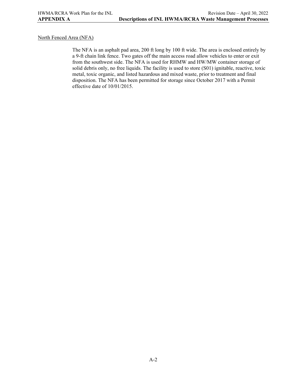#### North Fenced Area (NFA)

The NFA is an asphalt pad area, 200 ft long by 100 ft wide. The area is enclosed entirely by a 9-ft chain link fence. Two gates off the main access road allow vehicles to enter or exit from the southwest side. The NFA is used for RHMW and HW/MW container storage of solid debris only, no free liquids. The facility is used to store (S01) ignitable, reactive, toxic metal, toxic organic, and listed hazardous and mixed waste, prior to treatment and final disposition. The NFA has been permitted for storage since October 2017 with a Permit effective date of 10/01/2015.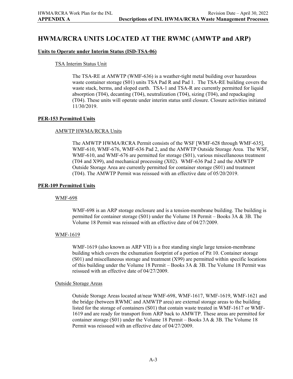# **HWMA/RCRA UNITS LOCATED AT THE RWMC (AMWTP and ARP)**

#### **Units to Operate under Interim Status (ISD-TSA-06)**

#### TSA Interim Status Unit

The TSA-RE at AMWTP (WMF-636) is a weather-tight metal building over hazardous waste container storage (S01) units TSA Pad R and Pad 1. The TSA-RE building covers the waste stack, berms, and sloped earth. TSA-1 and TSA-R are currently permitted for liquid absorption (T04), decanting (T04), neutralization (T04), sizing (T04), and repackaging (T04). These units will operate under interim status until closure. Closure activities initiated 11/30/2019.

#### **PER-153 Permitted Units**

#### AMWTP HWMA/RCRA Units

The AMWTP HWMA/RCRA Permit consists of the WSF [WMF-628 through WMF-635], WMF-610, WMF-676, WMF-636 Pad 2, and the AMWTP Outside Storage Area. The WSF, WMF-610, and WMF-676 are permitted for storage (S01), various miscellaneous treatment (T04 and X99), and mechanical processing (X02). WMF-636 Pad 2 and the AMWTP Outside Storage Area are currently permitted for container storage (S01) and treatment (T04). The AMWTP Permit was reissued with an effective date of 05/20/2019.

#### **PER-109 Permitted Units**

#### WMF-698

WMF-698 is an ARP storage enclosure and is a tension-membrane building. The building is permitted for container storage (S01) under the Volume 18 Permit – Books 3A & 3B. The Volume 18 Permit was reissued with an effective date of 04/27/2009.

#### WMF-1619

WMF-1619 (also known as ARP VII) is a free standing single large tension-membrane building which covers the exhumation footprint of a portion of Pit 10. Container storage (S01) and miscellaneous storage and treatment (X99) are permitted within specific locations of this building under the Volume 18 Permit – Books  $3A \& 3B$ . The Volume 18 Permit was reissued with an effective date of 04/27/2009.

#### Outside Storage Areas

Outside Storage Areas located at/near WMF-698, WMF-1617, WMF-1619, WMF-1621 and the bridge (between RWMC and AMWTP area) are external storage areas to the building listed for the storage of containers (S01) that contain waste treated in WMF-1617 or WMF-1619 and are ready for transport from ARP back to AMWTP. These areas are permitted for container storage (S01) under the Volume 18 Permit – Books 3A & 3B. The Volume 18 Permit was reissued with an effective date of 04/27/2009.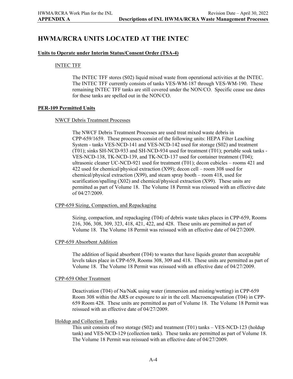# **HWMA/RCRA UNITS LOCATED AT THE INTEC**

#### **Units to Operate under Interim Status/Consent Order (TSA-4)**

#### INTEC TFF

The INTEC TFF stores (S02) liquid mixed waste from operational activities at the INTEC. The INTEC TFF currently consists of tanks VES-WM-187 through VES-WM-190. These remaining INTEC TFF tanks are still covered under the NON/CO. Specific cease use dates for these tanks are spelled out in the NON/CO.

#### **PER-109 Permitted Units**

#### NWCF Debris Treatment Processes

The NWCF Debris Treatment Processes are used treat mixed waste debris in CPP-659/1659. These processes consist of the following units: HEPA Filter Leaching System - tanks VES-NCD-141 and VES-NCD-142 used for storage (S02) and treatment (T01); sinks SH-NCD-933 and SH-NCD-934 used for treatment (T01); portable soak tanks - VES-NCD-138, TK-NCD-139, and TK-NCD-137 used for container treatment (T04); ultrasonic cleaner UC-NCD-921 used for treatment (T01); decon cubicles – rooms 421 and 422 used for chemical/physical extraction (X99); decon cell – room 308 used for chemical/physical extraction (X99), and steam spray booth – room 418, used for scarification/spalling (X02) and chemical/physical extraction (X99). These units are permitted as part of Volume 18. The Volume 18 Permit was reissued with an effective date of 04/27/2009.

#### CPP-659 Sizing, Compaction, and Repackaging

Sizing, compaction, and repackaging (T04) of debris waste takes places in CPP-659, Rooms 216, 306, 308, 309, 323, 418, 421, 422, and 428. These units are permitted as part of Volume 18. The Volume 18 Permit was reissued with an effective date of 04/27/2009.

#### CPP-659 Absorbent Addition

The addition of liquid absorbent (T04) to wastes that have liquids greater than acceptable levels takes place in CPP-659, Rooms 308, 309 and 418. These units are permitted as part of Volume 18. The Volume 18 Permit was reissued with an effective date of 04/27/2009.

#### CPP-659 Other Treatment

Deactivation (T04) of Na/NaK using water (immersion and misting/wetting) in CPP-659 Room 308 within the ARS or exposure to air in the cell. Macroencapsulation (T04) in CPP-659 Room 428. These units are permitted as part of Volume 18. The Volume 18 Permit was reissued with an effective date of 04/27/2009.

#### Holdup and Collection Tanks

This unit consists of two storage (S02) and treatment (T01) tanks – VES-NCD-123 (holdup tank) and VES-NCD-129 (collection tank). These tanks are permitted as part of Volume 18. The Volume 18 Permit was reissued with an effective date of 04/27/2009.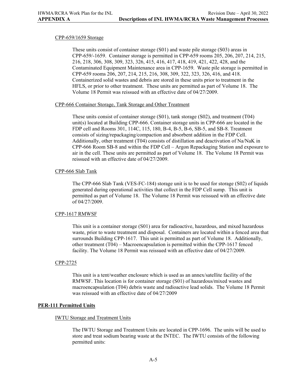#### CPP-659/1659 Storage

These units consist of container storage (S01) and waste pile storage (S03) areas in CPP-659/-1659. Container storage is permitted in CPP-659 rooms 205, 206, 207, 214, 215, 216, 218, 306, 308, 309, 323, 326, 415, 416, 417, 418, 419, 421, 422, 428, and the Contaminated Equipment Maintenance area in CPP-1659. Waste pile storage is permitted in CPP-659 rooms 206, 207, 214, 215, 216, 308, 309, 322, 323, 326, 416, and 418. Containerized solid wastes and debris are stored in these units prior to treatment in the HFLS, or prior to other treatment. These units are permitted as part of Volume 18. The Volume 18 Permit was reissued with an effective date of 04/27/2009.

#### CPP-666 Container Storage, Tank Storage and Other Treatment

These units consist of container storage (S01), tank storage (S02), and treatment (T04) unit(s) located at Building CPP-666. Container storage units in CPP-666 are located in the FDP cell and Rooms 301, 114C, 115, 180, B-4, B-5, B-6, SB-5, and SB-8. Treatment consists of sizing/repackaging/compaction and absorbent addition in the FDP Cell. Additionally, other treatment (T04) consists of distillation and deactivation of Na/NaK in CPP-666 Room SB-8 and within the FDP Cell – Argon Repackaging Station and exposure to air in the cell. These units are permitted as part of Volume 18. The Volume 18 Permit was reissued with an effective date of 04/27/2009.

#### CPP-666 Slab Tank

The CPP-666 Slab Tank (VES-FC-184) storage unit is to be used for storage (S02) of liquids generated during operational activities that collect in the FDP Cell sump. This unit is permitted as part of Volume 18. The Volume 18 Permit was reissued with an effective date of 04/27/2009.

#### CPP-1617 RMWSF

This unit is a container storage (S01) area for radioactive, hazardous, and mixed hazardous waste, prior to waste treatment and disposal. Containers are located within a fenced area that surrounds Building CPP-1617. This unit is permitted as part of Volume 18. Additionally, other treatment (T04) – Macroencapsulation is permitted within the CPP-1617 fenced facility. The Volume 18 Permit was reissued with an effective date of 04/27/2009.

#### CPP-2725

This unit is a tent/weather enclosure which is used as an annex/satellite facility of the RMWSF. This location is for container storage (S01) of hazardous/mixed wastes and macroencapsulation (T04) debris waste and radioactive lead solids. The Volume 18 Permit was reissued with an effective date of 04/27/2009

#### **PER-111 Permitted Units**

#### IWTU Storage and Treatment Units

The IWTU Storage and Treatment Units are located in CPP-1696. The units will be used to store and treat sodium bearing waste at the INTEC. The IWTU consists of the following permitted units: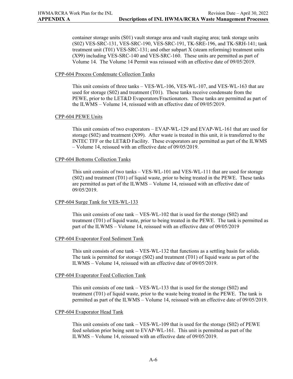container storage units (S01) vault storage area and vault staging area; tank storage units (S02) VES-SRC-131, VES-SRC-190, VES-SRC-191, TK-SRE-196, and TK-SRH-141; tank treatment unit (T01) VES-SRC-131; and other subpart X (steam reforming) treatment units (X99) including VES-SRC-140 and VES-SRC-160. These units are permitted as part of Volume 14. The Volume 14 Permit was reissued with an effective date of 09/05/2019.

#### CPP-604 Process Condensate Collection Tanks

This unit consists of three tanks – VES-WL-106, VES-WL-107, and VES-WL-163 that are used for storage (S02) and treatment (T01). These tanks receive condensate from the PEWE, prior to the LET&D Evaporators/Fractionators. These tanks are permitted as part of the ILWMS – Volume 14, reissued with an effective date of 09/05/2019.

#### CPP-604 PEWE Units

This unit consists of two evaporators – EVAP-WL-129 and EVAP-WL-161 that are used for storage  $(S02)$  and treatment  $(X99)$ . After waste is treated in this unit, it is transferred to the INTEC TFF or the LET&D Facility. These evaporators are permitted as part of the ILWMS – Volume 14, reissued with an effective date of 09/05/2019.

#### CPP-604 Bottoms Collection Tanks

This unit consists of two tanks – VES-WL-101 and VES-WL-111 that are used for storage (S02) and treatment (T01) of liquid waste, prior to being treated in the PEWE. These tanks are permitted as part of the ILWMS – Volume 14, reissued with an effective date of 09/05/2019.

#### CPP-604 Surge Tank for VES-WL-133

This unit consists of one tank – VES-WL-102 that is used for the storage (S02) and treatment (T01) of liquid waste, prior to being treated in the PEWE. The tank is permitted as part of the ILWMS – Volume 14, reissued with an effective date of 09/05/2019

#### CPP-604 Evaporator Feed Sediment Tank

This unit consists of one tank – VES-WL-132 that functions as a settling basin for solids. The tank is permitted for storage (S02) and treatment (T01) of liquid waste as part of the ILWMS – Volume 14, reissued with an effective date of 09/05/2019.

#### CPP-604 Evaporator Feed Collection Tank

This unit consists of one tank – VES-WL-133 that is used for the storage  $(S02)$  and treatment (T01) of liquid waste, prior to the waste being treated in the PEWE. The tank is permitted as part of the ILWMS – Volume 14, reissued with an effective date of 09/05/2019.

#### CPP-604 Evaporator Head Tank

This unit consists of one tank – VES-WL-109 that is used for the storage (S02) of PEWE feed solution prior being sent to EVAP-WL-161. This unit is permitted as part of the ILWMS – Volume 14, reissued with an effective date of 09/05/2019.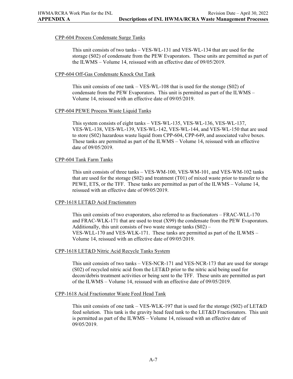#### CPP-604 Process Condensate Surge Tanks

This unit consists of two tanks – VES-WL-131 and VES-WL-134 that are used for the storage (S02) of condensate from the PEW Evaporators. These units are permitted as part of the ILWMS – Volume 14, reissued with an effective date of 09/05/2019.

#### CPP-604 Off-Gas Condensate Knock Out Tank

This unit consists of one tank – VES-WL-108 that is used for the storage (S02) of condensate from the PEW Evaporators. This unit is permitted as part of the ILWMS – Volume 14, reissued with an effective date of 09/05/2019.

#### CPP-604 PEWE Process Waste Liquid Tanks

This system consists of eight tanks – VES-WL-135, VES-WL-136, VES-WL-137, VES-WL-138, VES-WL-139, VES-WL-142, VES-WL-144, and VES-WL-150 that are used to store (S02) hazardous waste liquid from CPP-604, CPP-649, and associated valve boxes. These tanks are permitted as part of the ILWMS – Volume 14, reissued with an effective date of 09/05/2019.

#### CPP-604 Tank Farm Tanks

This unit consists of three tanks – VES-WM-100, VES-WM-101, and VES-WM-102 tanks that are used for the storage (S02) and treatment (T01) of mixed waste prior to transfer to the PEWE, ETS, or the TFF. These tanks are permitted as part of the ILWMS – Volume 14, reissued with an effective date of 09/05/2019.

#### CPP-1618 LET&D Acid Fractionators

This unit consists of two evaporators, also referred to as fractionators – FRAC-WLL-170 and FRAC-WLK-171 that are used to treat (X99) the condensate from the PEW Evaporators. Additionally, this unit consists of two waste storage tanks  $(S02)$  – VES-WLL-170 and VES-WLK-171. These tanks are permitted as part of the ILWMS – Volume 14, reissued with an effective date of 09/05/2019.

#### CPP-1618 LET&D Nitric Acid Recycle Tanks System

This unit consists of two tanks – VES-NCR-171 and VES-NCR-173 that are used for storage (S02) of recycled nitric acid from the LET&D prior to the nitric acid being used for decon/debris treatment activities or being sent to the TFF. These units are permitted as part of the ILWMS – Volume 14, reissued with an effective date of 09/05/2019.

#### CPP-1618 Acid Fractionator Waste Feed Head Tank

This unit consists of one tank – VES-WLK-197 that is used for the storage (S02) of LET&D feed solution. This tank is the gravity head feed tank to the LET&D Fractionators. This unit is permitted as part of the ILWMS – Volume 14, reissued with an effective date of 09/05/2019.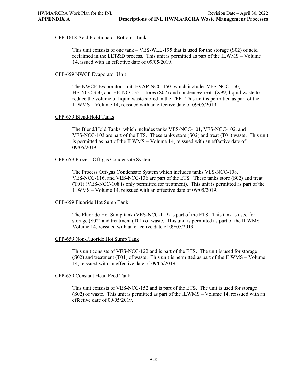#### CPP-1618 Acid Fractionator Bottoms Tank

This unit consists of one tank – VES-WLL-195 that is used for the storage (S02) of acid reclaimed in the LET&D process. This unit is permitted as part of the ILWMS – Volume 14, issued with an effective date of 09/05/2019.

#### CPP-659 NWCF Evaporator Unit

The NWCF Evaporator Unit, EVAP-NCC-150, which includes VES-NCC-150, HE-NCC-350, and HE-NCC-351 stores (S02) and condenses/treats (X99) liquid waste to reduce the volume of liquid waste stored in the TFF. This unit is permitted as part of the ILWMS – Volume 14, reissued with an effective date of 09/05/2019.

### CPP-659 Blend/Hold Tanks

The Blend/Hold Tanks, which includes tanks VES-NCC-101, VES-NCC-102, and VES-NCC-103 are part of the ETS. These tanks store (S02) and treat (T01) waste. This unit is permitted as part of the ILWMS – Volume 14, reissued with an effective date of 09/05/2019.

#### CPP-659 Process Off-gas Condensate System

The Process Off-gas Condensate System which includes tanks VES-NCC-108, VES-NCC-116, and VES-NCC-136 are part of the ETS. These tanks store (S02) and treat (T01) (VES-NCC-108 is only permitted for treatment). This unit is permitted as part of the ILWMS – Volume 14, reissued with an effective date of 09/05/2019.

### CPP-659 Fluoride Hot Sump Tank

The Fluoride Hot Sump tank (VES-NCC-119) is part of the ETS. This tank is used for storage  $(S02)$  and treatment (T01) of waste. This unit is permitted as part of the ILWMS – Volume 14, reissued with an effective date of 09/05/2019.

#### CPP-659 Non-Fluoride Hot Sump Tank

This unit consists of VES-NCC-122 and is part of the ETS. The unit is used for storage (S02) and treatment (T01) of waste. This unit is permitted as part of the ILWMS – Volume 14, reissued with an effective date of 09/05/2019.

#### CPP-659 Constant Head Feed Tank

This unit consists of VES-NCC-152 and is part of the ETS. The unit is used for storage (S02) of waste. This unit is permitted as part of the ILWMS – Volume 14, reissued with an effective date of 09/05/2019.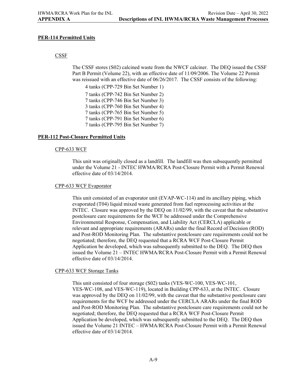#### **PER-114 Permitted Units**

### CSSF

The CSSF stores (S02) calcined waste from the NWCF calciner. The DEQ issued the CSSF Part B Permit (Volume 22), with an effective date of 11/09/2006. The Volume 22 Permit was reissued with an effective date of  $06/26/2017$ . The CSSF consists of the following:

4 tanks (CPP-729 Bin Set Number 1) 7 tanks (CPP-742 Bin Set Number 2) 7 tanks (CPP-746 Bin Set Number 3) 3 tanks (CPP-760 Bin Set Number 4) 7 tanks (CPP-765 Bin Set Number 5) 7 tanks (CPP-791 Bin Set Number 6) 7 tanks (CPP-795 Bin Set Number 7)

#### **PER-112 Post-Closure Permitted Units**

#### CPP-633 WCF

This unit was originally closed as a landfill. The landfill was then subsequently permitted under the Volume 21 - INTEC HWMA/RCRA Post-Closure Permit with a Permit Renewal effective date of 03/14/2014.

#### CPP-633 WCF Evaporator

This unit consisted of an evaporator unit (EVAP-WC-114) and its ancillary piping, which evaporated (T04) liquid mixed waste generated from fuel reprocessing activities at the INTEC. Closure was approved by the DEQ on 11/02/99, with the caveat that the substantive postclosure care requirements for the WCF be addressed under the Comprehensive Environmental Response, Compensation, and Liability Act (CERCLA) applicable or relevant and appropriate requirements (ARARs) under the final Record of Decision (ROD) and Post-ROD Monitoring Plan. The substantive postclosure care requirements could not be negotiated; therefore, the DEQ requested that a RCRA WCF Post-Closure Permit Application be developed, which was subsequently submitted to the DEQ. The DEQ then issued the Volume 21 – INTEC HWMA/RCRA Post-Closure Permit with a Permit Renewal effective date of 03/14/2014.

#### CPP-633 WCF Storage Tanks

This unit consisted of four storage (S02) tanks (VES-WC-100, VES-WC-101, VES-WC-108, and VES-WC-119), located in Building CPP-633, at the INTEC. Closure was approved by the DEQ on 11/02/99, with the caveat that the substantive postclosure care requirements for the WCF be addressed under the CERCLA ARARs under the final ROD and Post-ROD Monitoring Plan. The substantive postclosure care requirements could not be negotiated; therefore, the DEQ requested that a RCRA WCF Post-Closure Permit Application be developed, which was subsequently submitted to the DEQ. The DEQ then issued the Volume 21 INTEC – HWMA/RCRA Post-Closure Permit with a Permit Renewal effective date of 03/14/2014.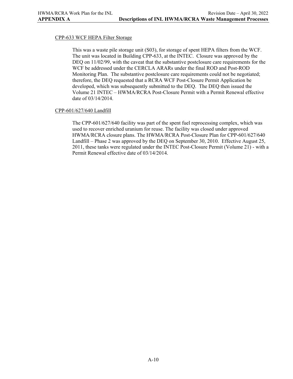#### CPP-633 WCF HEPA Filter Storage

This was a waste pile storage unit (S03), for storage of spent HEPA filters from the WCF. The unit was located in Building CPP-633, at the INTEC. Closure was approved by the DEQ on  $11/02/99$ , with the caveat that the substantive postclosure care requirements for the WCF be addressed under the CERCLA ARARs under the final ROD and Post-ROD Monitoring Plan. The substantive postclosure care requirements could not be negotiated; therefore, the DEQ requested that a RCRA WCF Post-Closure Permit Application be developed, which was subsequently submitted to the DEQ. The DEQ then issued the Volume 21 INTEC – HWMA/RCRA Post-Closure Permit with a Permit Renewal effective date of 03/14/2014.

#### CPP-601/627/640 Landfill

The CPP-601/627/640 facility was part of the spent fuel reprocessing complex, which was used to recover enriched uranium for reuse. The facility was closed under approved HWMA/RCRA closure plans. The HWMA/RCRA Post-Closure Plan for CPP-601/627/640 Landfill – Phase 2 was approved by the DEQ on September 30, 2010. Effective August 25, 2011, these tanks were regulated under the INTEC Post-Closure Permit (Volume 21) - with a Permit Renewal effective date of 03/14/2014.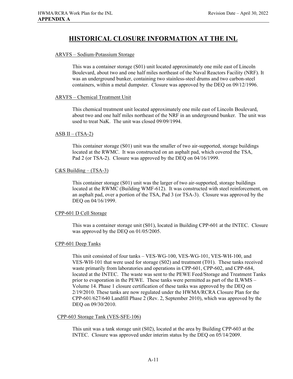# **HISTORICAL CLOSURE INFORMATION AT THE INL**

#### ARVFS – Sodium-Potassium Storage

This was a container storage (S01) unit located approximately one mile east of Lincoln Boulevard, about two and one half miles northeast of the Naval Reactors Facility (NRF). It was an underground bunker, containing two stainless-steel drums and two carbon-steel containers, within a metal dumpster. Closure was approved by the DEQ on 09/12/1996.

#### ARVFS – Chemical Treatment Unit

This chemical treatment unit located approximately one mile east of Lincoln Boulevard, about two and one half miles northeast of the NRF in an underground bunker. The unit was used to treat NaK. The unit was closed 09/09/1994.

#### $ASB II - (TSA-2)$

This container storage (S01) unit was the smaller of two air-supported, storage buildings located at the RWMC. It was constructed on an asphalt pad, which covered the TSA, Pad 2 (or TSA-2). Closure was approved by the DEQ on 04/16/1999.

### $C&S$  Building – (TSA-3)

This container storage (S01) unit was the larger of two air-supported, storage buildings located at the RWMC (Building WMF-612). It was constructed with steel reinforcement, on an asphalt pad, over a portion of the TSA, Pad 3 (or TSA-3). Closure was approved by the DEQ on 04/16/1999.

#### CPP-601 D Cell Storage

This was a container storage unit (S01), located in Building CPP-601 at the INTEC. Closure was approved by the DEQ on 01/05/2005.

#### CPP-601 Deep Tanks

This unit consisted of four tanks – VES-WG-100, VES-WG-101, VES-WH-100, and VES-WH-101 that were used for storage (S02) and treatment (T01). These tanks received waste primarily from laboratories and operations in CPP-601, CPP-602, and CPP-684, located at the INTEC. The waste was sent to the PEWE Feed/Storage and Treatment Tanks prior to evaporation in the PEWE. These tanks were permitted as part of the ILWMS – Volume 14. Phase 1 closure certification of these tanks was approved by the DEQ on 2/19/2010. These tanks are now regulated under the HWMA/RCRA Closure Plan for the CPP-601/627/640 Landfill Phase 2 (Rev. 2, September 2010), which was approved by the DEQ on 09/30/2010.

#### CPP-603 Storage Tank (VES-SFE-106)

This unit was a tank storage unit (S02), located at the area by Building CPP-603 at the INTEC. Closure was approved under interim status by the DEQ on 05/14/2009.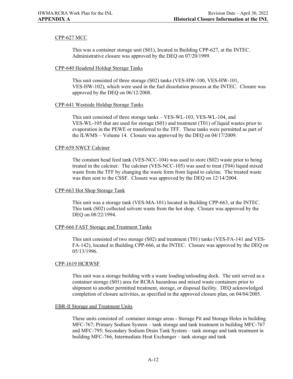#### CPP-627 MCC

This was a container storage unit (S01), located in Building CPP-627, at the INTEC. Administrative closure was approved by the DEQ on 07/20/1999.

#### CPP-640 Headend Holdup Storage Tanks

This unit consisted of three storage (S02) tanks (VES-HW-100, VES-HW-101, VES-HW-102), which were used in the fuel dissolution process at the INTEC. Closure was approved by the DEQ on 06/12/2008.

#### CPP-641 Westside Holdup Storage Tanks

This unit consisted of three storage tanks – VES-WL-103, VES-WL-104, and VES-WL-105 that are used for storage (S01) and treatment (T01) of liquid wastes prior to evaporation in the PEWE or transferred to the TFF. These tanks were permitted as part of the ILWMS – Volume 14. Closure was approved by the DEQ on 04/17/2009.

#### CPP-659 NWCF Calciner

The constant head feed tank (VES-NCC-104) was used to store (S02) waste prior to being treated in the calciner. The calciner (VES-NCC-105) was used to treat (T04) liquid mixed waste from the TFF by changing the waste form from liquid to calcine. The treated waste was then sent to the CSSF. Closure was approved by the DEQ on 12/14/2004.

#### CPP-663 Hot Shop Storage Tank

This unit was a storage tank (VES-MA-101) located in Building CPP-663, at the INTEC. This tank (S02) collected solvent waste from the hot shop. Closure was approved by the DEQ on 08/22/1994.

#### CPP-666 FAST Storage and Treatment Tanks

This unit consisted of two storage (S02) and treatment (T01) tanks (VES-FA-141 and VES-FA-142), located in Building CPP-666, at the INTEC. Closure was approved by the DEQ on 05/13/1996.

#### CPP-1619 HCRWSF

This unit was a storage building with a waste loading/unloading dock. The unit served as a container storage (S01) area for RCRA hazardous and mixed waste containers prior to shipment to another permitted treatment, storage, or disposal facility. DEQ acknowledged completion of closure activities, as specified in the approved closure plan, on 04/04/2005.

#### EBR-II Storage and Treatment Units

These units consisted of: container storage areas - Storage Pit and Storage Holes in building MFC-767; Primary Sodium System – tank storage and tank treatment in building MFC-767 and MFC-795; Secondary Sodium Drain Tank System – tank storage and tank treatment in building MFC-766, Intermediate Heat Exchanger – tank storage and tank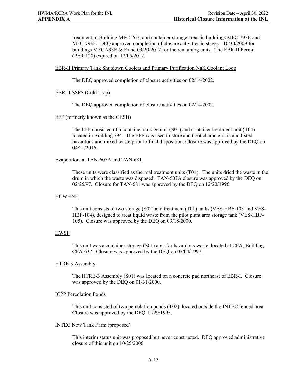treatment in Building MFC-767; and container storage areas in buildings MFC-793E and MFC-793F. DEQ approved completion of closure activities in stages - 10/30/2009 for buildings MFC-793E & F and 09/20/2012 for the remaining units. The EBR-II Permit (PER-120) expired on 12/05/2012.

#### EBR-II Primary Tank Shutdown Coolers and Primary Purification NaK Coolant Loop

The DEQ approved completion of closure activities on 02/14/2002.

#### EBR-II SSPS (Cold Trap)

The DEQ approved completion of closure activities on 02/14/2002.

EFF (formerly known as the CESB)

The EFF consisted of a container storage unit (S01) and container treatment unit (T04) located in Building 794. The EFF was used to store and treat characteristic and listed hazardous and mixed waste prior to final disposition. Closure was approved by the DEQ on 04/21/2016.

#### Evaporators at TAN-607A and TAN-681

These units were classified as thermal treatment units (T04). The units dried the waste in the drum in which the waste was disposed. TAN-607A closure was approved by the DEQ on 02/25/97. Closure for TAN-681 was approved by the DEQ on 12/20/1996.

#### HCWHNF

This unit consists of two storage (S02) and treatment (T01) tanks (VES-HBF-103 and VES-HBF-104), designed to treat liquid waste from the pilot plant area storage tank (VES-HBF-105). Closure was approved by the DEQ on 09/18/2000.

#### HWSF

This unit was a container storage (S01) area for hazardous waste, located at CFA, Building CFA-637. Closure was approved by the DEQ on 02/04/1997.

#### HTRE-3 Assembly

The HTRE-3 Assembly (S01) was located on a concrete pad northeast of EBR-I. Closure was approved by the DEQ on 01/31/2000.

#### ICPP Percolation Ponds

This unit consisted of two percolation ponds (T02), located outside the INTEC fenced area. Closure was approved by the DEQ 11/29/1995.

#### INTEC New Tank Farm (proposed)

This interim status unit was proposed but never constructed. DEQ approved administrative closure of this unit on 10/25/2006.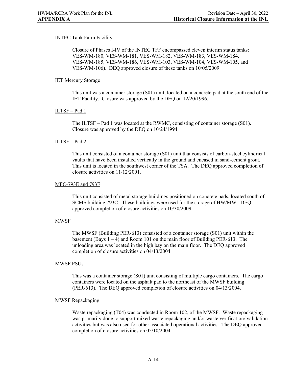#### INTEC Tank Farm Facility

Closure of Phases I-IV of the INTEC TFF encompassed eleven interim status tanks: VES-WM-180, VES-WM-181, VES-WM-182, VES-WM-183, VES-WM-184, VES-WM-185, VES-WM-186, VES-WM-103, VES-WM-104, VES-WM-105, and VES-WM-106). DEQ approved closure of these tanks on 10/05/2009.

#### IET Mercury Storage

This unit was a container storage (S01) unit, located on a concrete pad at the south end of the IET Facility. Closure was approved by the DEQ on 12/20/1996.

#### ILTSF – Pad 1

The ILTSF – Pad 1 was located at the RWMC, consisting of container storage (S01). Closure was approved by the DEQ on 10/24/1994.

#### ILTSF – Pad 2

This unit consisted of a container storage (S01) unit that consists of carbon-steel cylindrical vaults that have been installed vertically in the ground and encased in sand-cement grout. This unit is located in the southwest corner of the TSA. The DEQ approved completion of closure activities on 11/12/2001.

#### MFC-793E and 793F

This unit consisted of metal storage buildings positioned on concrete pads, located south of SCMS building 793C. These buildings were used for the storage of HW/MW. DEQ approved completion of closure activities on 10/30/2009.

#### MWSF

The MWSF (Building PER-613) consisted of a container storage (S01) unit within the basement (Bays  $1 - 4$ ) and Room 101 on the main floor of Building PER-613. The unloading area was located in the high bay on the main floor. The DEQ approved completion of closure activities on 04/13/2004.

#### MWSF PSUs

This was a container storage (S01) unit consisting of multiple cargo containers. The cargo containers were located on the asphalt pad to the northeast of the MWSF building (PER-613). The DEQ approved completion of closure activities on 04/13/2004.

#### MWSF Repackaging

Waste repackaging (T04) was conducted in Room 102, of the MWSF. Waste repackaging was primarily done to support mixed waste repackaging and/or waste verification/ validation activities but was also used for other associated operational activities. The DEQ approved completion of closure activities on 05/10/2004.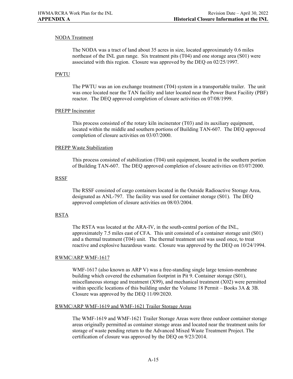#### NODA Treatment

The NODA was a tract of land about 35 acres in size, located approximately 0.6 miles northeast of the INL gun range. Six treatment pits (T04) and one storage area (S01) were associated with this region. Closure was approved by the DEQ on 02/25/1997.

#### PWTU

The PWTU was an ion exchange treatment (T04) system in a transportable trailer. The unit was once located near the TAN facility and later located near the Power Burst Facility (PBF) reactor. The DEQ approved completion of closure activities on 07/08/1999.

#### PREPP Incinerator

This process consisted of the rotary kiln incinerator (T03) and its auxiliary equipment, located within the middle and southern portions of Building TAN-607. The DEQ approved completion of closure activities on 03/07/2000.

#### PREPP Waste Stabilization

This process consisted of stabilization (T04) unit equipment, located in the southern portion of Building TAN-607. The DEQ approved completion of closure activities on 03/07/2000.

#### RSSF

The RSSF consisted of cargo containers located in the Outside Radioactive Storage Area, designated as ANL-797. The facility was used for container storage (S01). The DEQ approved completion of closure activities on 08/03/2004.

#### RSTA

The RSTA was located at the ARA-IV, in the south-central portion of the INL, approximately 7.5 miles east of CFA. This unit consisted of a container storage unit (S01) and a thermal treatment (T04) unit. The thermal treatment unit was used once, to treat reactive and explosive hazardous waste. Closure was approved by the DEQ on 10/24/1994.

#### RWMC/ARP WMF-1617

WMF-1617 (also known as ARP V) was a free-standing single large tension-membrane building which covered the exhumation footprint in Pit 9. Container storage (S01), miscellaneous storage and treatment  $(X99)$ , and mechanical treatment  $(X02)$  were permitted within specific locations of this building under the Volume 18 Permit – Books  $3A \& 3B$ . Closure was approved by the DEQ 11/09/2020.

#### RWMC/ARP WMF-1619 and WMF-1621 Trailer Storage Areas

The WMF-1619 and WMF-1621 Trailer Storage Areas were three outdoor container storage areas originally permitted as container storage areas and located near the treatment units for storage of waste pending return to the Advanced Mixed Waste Treatment Project. The certification of closure was approved by the DEQ on 9/23/2014.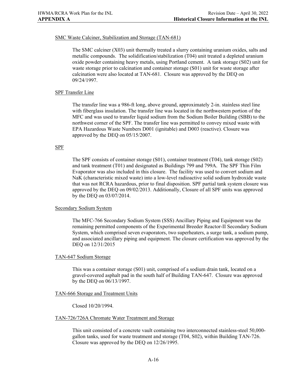#### SMC Waste Calciner, Stabilization and Storage (TAN-681)

The SMC calciner (X03) unit thermally treated a slurry containing uranium oxides, salts and metallic compounds. The solidification/stabilization (T04) unit treated a depleted uranium oxide powder containing heavy metals, using Portland cement. A tank storage (S02) unit for waste storage prior to calcination and container storage (S01) unit for waste storage after calcination were also located at TAN-681. Closure was approved by the DEQ on 09/24/1997.

#### SPF Transfer Line

The transfer line was a 986-ft long, above ground, approximately 2-in. stainless steel line with fiberglass insulation. The transfer line was located in the northwestern portion of the MFC and was used to transfer liquid sodium from the Sodium Boiler Building (SBB) to the northwest corner of the SPF. The transfer line was permitted to convey mixed waste with EPA Hazardous Waste Numbers D001 (ignitable) and D003 (reactive). Closure was approved by the DEQ on 05/15/2007.

#### SPF

The SPF consists of container storage (S01), container treatment (T04), tank storage (S02) and tank treatment (T01) and designated as Buildings 799 and 799A. The SPF Thin Film Evaporator was also included in this closure. The facility was used to convert sodium and NaK (characteristic mixed waste) into a low-level radioactive solid sodium hydroxide waste that was not RCRA hazardous, prior to final disposition. SPF partial tank system closure was approved by the DEQ on 09/02/2013. Additionally, Closure of all SPF units was approved by the DEQ on 03/07/2014.

#### Secondary Sodium System

The MFC-766 Secondary Sodium System (SSS) Ancillary Piping and Equipment was the remaining permitted components of the Experimental Breeder Reactor-II Secondary Sodium System, which comprised seven evaporators, two superheaters, a surge tank, a sodium pump, and associated ancillary piping and equipment. The closure certification was approved by the DEQ on 12/31/2015

#### TAN-647 Sodium Storage

This was a container storage (S01) unit, comprised of a sodium drain tank, located on a gravel-covered asphalt pad in the south half of Building TAN-647. Closure was approved by the DEQ on 06/13/1997.

#### TAN-666 Storage and Treatment Units

Closed 10/20/1994.

#### TAN-726/726A Chromate Water Treatment and Storage

This unit consisted of a concrete vault containing two interconnected stainless-steel 50,000 gallon tanks, used for waste treatment and storage (T04, S02), within Building TAN-726. Closure was approved by the DEQ on 12/26/1995.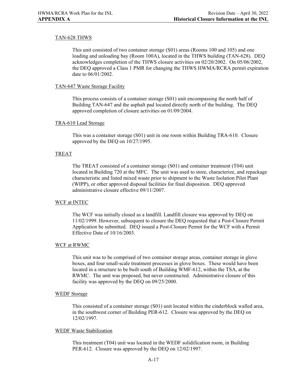#### TAN-628 THWS

This unit consisted of two container storage (S01) areas (Rooms 100 and 105) and one loading and unloading bay (Room 100A), located in the THWS building (TAN-628). DEQ acknowledges completion of the THWS closure activities on 02/20/2002. On 05/06/2002, the DEQ approved a Class 1 PMR for changing the THWS HWMA/RCRA permit expiration date to 06/01/2002.

#### TAN-647 Waste Storage Facility

This process consists of a container storage (S01) unit encompassing the north half of Building TAN-647 and the asphalt pad located directly north of the building. The DEQ approved completion of closure activities on 01/09/2004.

#### TRA-610 Lead Storage

This was a container storage (S01) unit in one room within Building TRA-610. Closure approved by the DEQ on 10/27/1995.

#### TREAT

The TREAT consisted of a container storage (S01) and container treatment (T04) unit located in Building 720 at the MFC. The unit was used to store, characterize, and repackage characteristic and listed mixed waste prior to shipment to the Waste Isolation Pilot Plant (WIPP), or other approved disposal facilities for final disposition. DEQ approved administrative closure effective 09/11/2007.

#### WCF at INTEC

The WCF was initially closed as a landfill. Landfill closure was approved by DEQ on 11/02/1999. However, subsequent to closure the DEQ requested that a Post-Closure Permit Application be submitted. DEQ issued a Post-Closure Permit for the WCF with a Permit Effective Date of 10/16/2003.

#### WCF at RWMC

This unit was to be comprised of two container storage areas, container storage in glove boxes, and four small-scale treatment processes in glove boxes. These would have been located in a structure to be built south of Building WMF-612, within the TSA, at the RWMC. The unit was proposed, but never constructed. Administrative closure of this facility was approved by the DEQ on 09/25/2000.

#### WEDF Storage

This consisted of a container storage (S01) unit located within the cinderblock walled area, in the southwest corner of Building PER-612. Closure was approved by the DEQ on 12/02/1997.

#### WEDF Waste Stabilization

This treatment (T04) unit was located in the WEDF solidification room, in Building PER-612. Closure was approved by the DEQ on 12/02/1997.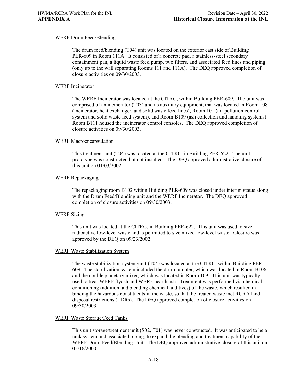#### WERF Drum Feed/Blending

The drum feed/blending (T04) unit was located on the exterior east side of Building PER-609 in Room 111A. It consisted of a concrete pad, a stainless-steel secondary containment pan, a liquid waste feed pump, two filters, and associated feed lines and piping (only up to the wall separating Rooms 111 and 111A). The DEQ approved completion of closure activities on 09/30/2003.

#### WERF Incinerator

The WERF Incinerator was located at the CITRC, within Building PER-609. The unit was comprised of an incinerator (T03) and its auxiliary equipment, that was located in Room 108 (incinerator, heat exchanger, and solid waste feed lines), Room 101 (air pollution control system and solid waste feed system), and Room B109 (ash collection and handling systems). Room B111 housed the incinerator control consoles. The DEQ approved completion of closure activities on 09/30/2003.

#### WERF Macroencapsulation

This treatment unit (T04) was located at the CITRC, in Building PER-622. The unit prototype was constructed but not installed. The DEQ approved administrative closure of this unit on 01/03/2002.

#### WERF Repackaging

The repackaging room B102 within Building PER-609 was closed under interim status along with the Drum Feed/Blending unit and the WERF Incinerator. The DEQ approved completion of closure activities on 09/30/2003.

#### WERF Sizing

This unit was located at the CITRC, in Building PER-622. This unit was used to size radioactive low-level waste and is permitted to size mixed low-level waste. Closure was approved by the DEQ on 09/23/2002.

#### WERF Waste Stabilization System

The waste stabilization system/unit (T04) was located at the CITRC, within Building PER-609. The stabilization system included the drum tumbler, which was located in Room B106, and the double planetary mixer, which was located in Room 109. This unit was typically used to treat WERF flyash and WERF hearth ash. Treatment was performed via chemical conditioning (addition and blending chemical additives) of the waste, which resulted in binding the hazardous constituents in the waste, so that the treated waste met RCRA land disposal restrictions (LDRs). The DEQ approved completion of closure activities on 09/30/2003.

#### WERF Waste Storage/Feed Tanks

This unit storage/treatment unit (S02, T01) was never constructed. It was anticipated to be a tank system and associated piping, to expand the blending and treatment capability of the WERF Drum Feed/Blending Unit. The DEQ approved administrative closure of this unit on 05/16/2000.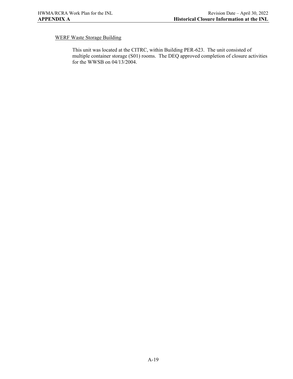### WERF Waste Storage Building

This unit was located at the CITRC, within Building PER-623. The unit consisted of multiple container storage (S01) rooms. The DEQ approved completion of closure activities for the WWSB on 04/13/2004.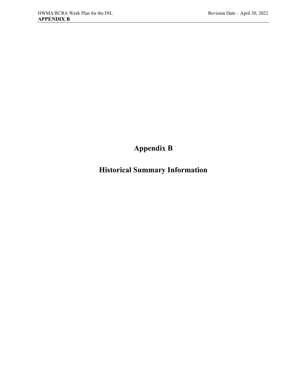# **Appendix B**

# **Historical Summary Information**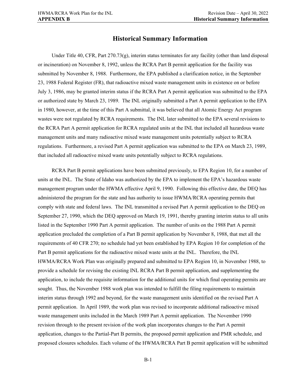### **Historical Summary Information**

Under Title 40, CFR, Part  $270.73(g)$ , interim status terminates for any facility (other than land disposal or incineration) on November 8, 1992, unless the RCRA Part B permit application for the facility was submitted by November 8, 1988. Furthermore, the EPA published a clarification notice, in the September 23, 1988 Federal Register (FR), that radioactive mixed waste management units in existence on or before July 3, 1986, may be granted interim status if the RCRA Part A permit application was submitted to the EPA or authorized state by March 23, 1989. The INL originally submitted a Part A permit application to the EPA in 1980, however, at the time of this Part A submittal, it was believed that all Atomic Energy Act program wastes were not regulated by RCRA requirements. The INL later submitted to the EPA several revisions to the RCRA Part A permit application for RCRA regulated units at the INL that included all hazardous waste management units and many radioactive mixed waste management units potentially subject to RCRA regulations. Furthermore, a revised Part A permit application was submitted to the EPA on March 23, 1989, that included all radioactive mixed waste units potentially subject to RCRA regulations.

RCRA Part B permit applications have been submitted previously, to EPA Region 10, for a number of units at the INL. The State of Idaho was authorized by the EPA to implement the EPA's hazardous waste management program under the HWMA effective April 9, 1990. Following this effective date, the DEQ has administered the program for the state and has authority to issue HWMA/RCRA operating permits that comply with state and federal laws. The INL transmitted a revised Part A permit application to the DEQ on September 27, 1990, which the DEQ approved on March 19, 1991, thereby granting interim status to all units listed in the September 1990 Part A permit application. The number of units on the 1988 Part A permit application precluded the completion of a Part B permit application by November 8, 1988, that met all the requirements of 40 CFR 270; no schedule had yet been established by EPA Region 10 for completion of the Part B permit applications for the radioactive mixed waste units at the INL. Therefore, the INL HWMA/RCRA Work Plan was originally prepared and submitted to EPA Region 10, in November 1988, to provide a schedule for revising the existing INL RCRA Part B permit application, and supplementing the application, to include the requisite information for the additional units for which final operating permits are sought. Thus, the November 1988 work plan was intended to fulfill the filing requirements to maintain interim status through 1992 and beyond, for the waste management units identified on the revised Part A permit application. In April 1989, the work plan was revised to incorporate additional radioactive mixed waste management units included in the March 1989 Part A permit application. The November 1990 revision through to the present revision of the work plan incorporates changes to the Part A permit application, changes to the Partial-Part B permits, the proposed permit application and PMR schedule, and proposed closures schedules. Each volume of the HWMA/RCRA Part B permit application will be submitted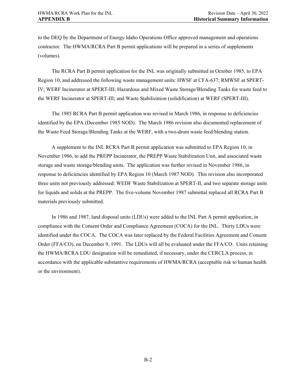to the DEQ by the Department of Energy Idaho Operations Office approved management and operations contractor. The HWMA/RCRA Part B permit applications will be prepared in a series of supplements (volumes).

The RCRA Part B permit application for the INL was originally submitted in October 1985, to EPA Region 10, and addressed the following waste management units: HWSF at CFA-637; RMWSF at SPERT-IV; WERF Incinerator at SPERT-III; Hazardous and Mixed Waste Storage/Blending Tanks for waste feed to the WERF Incinerator at SPERT-III; and Waste Stabilization (solidification) at WERF (SPERT-III).

The 1985 RCRA Part B permit application was revised in March 1986, in response to deficiencies identified by the EPA (December 1985 NOD). The March 1986 revision also documented replacement of the Waste Feed Storage/Blending Tanks at the WERF, with a two-drum waste feed/blending station.

A supplement to the INL RCRA Part B permit application was submitted to EPA Region 10, in November 1986, to add the PREPP Incinerator, the PREPP Waste Stabilization Unit, and associated waste storage and waste storage/blending units. The application was further revised in November 1986, in response to deficiencies identified by EPA Region 10 (March 1987 NOD). This revision also incorporated three units not previously addressed: WEDF Waste Stabilization at SPERT-II, and two separate storage units for liquids and solids at the PREPP. The five-volume November 1987 submittal replaced all RCRA Part B materials previously submitted.

In 1986 and 1987, land disposal units (LDUs) were added to the INL Part A permit application, in compliance with the Consent Order and Compliance Agreement (COCA) for the INL. Thirty LDUs were identified under the COCA. The COCA was later replaced by the Federal Facilities Agreement and Consent Order (FFA/CO), on December 9, 1991. The LDUs will all be evaluated under the FFA/CO. Units retaining the HWMA/RCRA LDU designation will be remediated, if necessary, under the CERCLA process, in accordance with the applicable substantive requirements of HWMA/RCRA (acceptable risk to human health or the environment).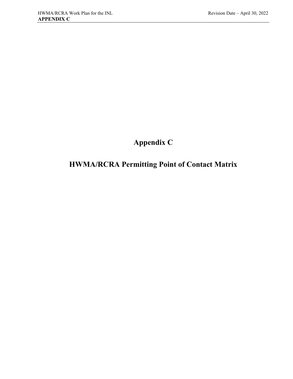# **Appendix C**

# **HWMA/RCRA Permitting Point of Contact Matrix**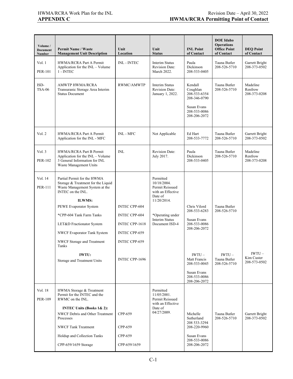| Volume /<br><b>Document</b><br><b>Number</b> | <b>Permit Name / Waste</b><br><b>Management Unit Description</b>                                                                                                                                                                                                                                                                           | Unit<br>Location                                                                                                                 | Unit<br><b>Status</b>                                                                                                                                     | <b>INL Point</b><br>of Contact                                                                                                                                         | <b>DOE</b> Idaho<br><b>Operations</b><br><b>Office Point</b><br>of Contact | <b>DEQ Point</b><br>of Contact         |
|----------------------------------------------|--------------------------------------------------------------------------------------------------------------------------------------------------------------------------------------------------------------------------------------------------------------------------------------------------------------------------------------------|----------------------------------------------------------------------------------------------------------------------------------|-----------------------------------------------------------------------------------------------------------------------------------------------------------|------------------------------------------------------------------------------------------------------------------------------------------------------------------------|----------------------------------------------------------------------------|----------------------------------------|
| Vol. 1<br><b>PER-101</b>                     | HWMA/RCRA Part A Permit<br>Application for the INL - Volume<br>$1 - INTEC$                                                                                                                                                                                                                                                                 | <b>INL - INTEC</b>                                                                                                               | Interim Status<br><b>Revision Date:</b><br>March 2022.                                                                                                    | Paula<br>Dickinson<br>208-533-0405                                                                                                                                     | Tauna Butler<br>208-526-5710                                               | Garrett Bright<br>208-373-0502         |
| ISD-<br><b>TSA-06</b>                        | <b>AMWTP HWMA/RCRA</b><br>Transuranic Storage Area Interim<br><b>Status Document</b>                                                                                                                                                                                                                                                       | <b>RWMC/AMWTP</b>                                                                                                                | <b>Interim Status</b><br><b>Revision Date:</b><br>January 1, 2022.                                                                                        | Kendall<br>Coughlan<br>208-533-6354<br>208-346-0790<br>Susan Evans<br>208-533-0086<br>208-206-2072                                                                     | Tauna Butler<br>208-526-5710                                               | Madeline<br>Renfrow<br>208-373-0208    |
| Vol. 2                                       | HWMA/RCRA Part A Permit<br>Application for the INL - MFC                                                                                                                                                                                                                                                                                   | INL - MFC                                                                                                                        | Not Applicable                                                                                                                                            | Ed Hart<br>208-533-7772                                                                                                                                                | Tauna Butler<br>208-526-5710                                               | Garrett Bright<br>208-373-0502         |
| Vol. 3<br><b>PER-102</b>                     | HWMA/RCRA Part B Permit<br>Application for the INL – Volume<br>3 General Information for INL<br>Waste Management Units                                                                                                                                                                                                                     | <b>INL</b>                                                                                                                       | <b>Revision Date:</b><br>July 2017.                                                                                                                       | Paula<br>Dickinson<br>208-533-0405                                                                                                                                     | Tauna Butler<br>208-526-5710                                               | Madeline<br>Renfrow<br>208-373-0208    |
| Vol. 14<br>PER-111                           | Partial Permit for the HWMA<br>Storage & Treatment for the Liquid<br>Waste Management System at the<br>INTEC on the INL.<br>ILWMS:<br>PEWE Evaporator System<br>*CPP-604 Tank Farm Tanks<br>LET&D Fractionator System<br>NWCF Evaporator Tank System<br>NWCF Storage and Treatment<br>Tanks<br><b>IWTU:</b><br>Storage and Treatment Units | <b>INTEC CPP-604</b><br><b>INTEC CPP-604</b><br>INTEC CPP-1618<br><b>INTEC CPP-659</b><br><b>INTEC CPP-659</b><br>INTEC CPP-1696 | Permitted<br>10/18/2004.<br>Permit Reissued<br>with an Effective<br>Date of<br>11/20/2014.<br>*Operating under<br><b>Interim Status</b><br>Document ISD-4 | Chris Vilord<br>208-533-6283<br>Susan Evans<br>208-533-0086<br>208-206-2072<br>$IWTU -$<br>Matt Francis<br>208-533-0045<br>Susan Evans<br>208-533-0086<br>208-206-2072 | Tauna Butler<br>208-526-5710<br>$IWTU -$<br>Tauna Butler<br>208-526-5710   | $IWTU -$<br>Kim Custer<br>208-573-0502 |
| Vol. 18<br><b>PER-109</b>                    | HWMA Storage & Treatment<br>Permit for the INTEC and the<br>RWMC on the INL.<br><b>INTEC Units (Books 1&amp; 2):</b><br>NWCF Debris and Other Treatment<br>Processes<br><b>NWCF Tank Treatment</b><br>Holdup and Collection Tanks<br>CPP-659/1659 Storage                                                                                  | CPP-659<br>CPP-659<br>CPP-659<br>CPP-659/1659                                                                                    | Permitted<br>11/05/2001.<br>Permit Reissued<br>with an Effective<br>Date of<br>04/27/2009.                                                                | Michelle<br>Sutherland<br>208 533-3294<br>208-220-9960<br>Susan Evans<br>208-533-0086<br>208-206-2072                                                                  | Tauna Butler<br>208-526-5710                                               | Garrett Bright<br>208-373-0502         |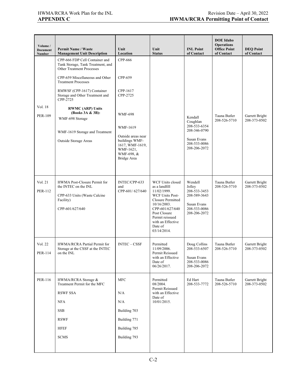| Volume /<br><b>Document</b><br><b>Number</b> | <b>Permit Name / Waste</b><br><b>Management Unit Description</b>                                                                                                                                                                                                                                                                                                                   | Unit<br>Location                                                                                                                                                              | Unit<br><b>Status</b>                                                                                                                                                                                               | <b>INL Point</b><br>of Contact                                                                     | <b>DOE</b> Idaho<br><b>Operations</b><br><b>Office Point</b><br>of Contact | <b>DEQ Point</b><br>of Contact |
|----------------------------------------------|------------------------------------------------------------------------------------------------------------------------------------------------------------------------------------------------------------------------------------------------------------------------------------------------------------------------------------------------------------------------------------|-------------------------------------------------------------------------------------------------------------------------------------------------------------------------------|---------------------------------------------------------------------------------------------------------------------------------------------------------------------------------------------------------------------|----------------------------------------------------------------------------------------------------|----------------------------------------------------------------------------|--------------------------------|
| Vol. 18<br><b>PER-109</b>                    | CPP-666 FDP Cell Container and<br>Tank Storage, Tank Treatment, and<br><b>Other Treatment Processes</b><br>CPP-659 Miscellaneous and Other<br><b>Treatment Processes</b><br>RMWSF (CPP-1617) Container<br>Storage and Other Treatment and<br>CPP-2725<br><b>RWMC</b> (ARP) Units<br>(Books 3A & 3B):<br>WMF-698 Storage<br>WMF-1619 Storage and Treatment<br>Outside Storage Areas | CPP-666<br>CPP-659<br>CPP-1617<br>CPP-2725<br><b>WMF-698</b><br>WMF-1619<br>Outside areas near<br>buildings WMF-<br>1617, WMF-1619,<br>WMF-1621,<br>WMF-698, &<br>Bridge Area |                                                                                                                                                                                                                     | Kendall<br>Coughlan<br>208-533-6354<br>208-346-0790<br>Susan Evans<br>208-533-0086<br>208-206-2072 | Tauna Butler<br>208-526-5710                                               | Garrett Bright<br>208-373-0502 |
| Vol. 21<br>PER-112                           | HWMA Post-Closure Permit for<br>the INTEC on the INL<br>CPP-633 Units (Waste Calcine<br>Facility)<br>CPP-601/627/640                                                                                                                                                                                                                                                               | INTEC/CPP-633<br>and<br>CPP-601/627/640                                                                                                                                       | WCF Units closed<br>as a landfill<br>11/02/1999.<br><b>WCF Units Post-</b><br>Closure Permitted<br>10/16/2003.<br>CPP-601/627/640<br>Post Closure<br>Permit reissued<br>with an Effective<br>Date of<br>03/14/2014. | Wendell<br>Jolley<br>208-533-3453<br>208-589-3643<br>Susan Evans<br>208-533-0086<br>208-206-2072   | Tauna Butler<br>208-526-5710                                               | Garrett Bright<br>208-373-0502 |
| Vol. 22<br>PER-114                           | HWMA/RCRA Partial Permit for<br>Storage at the CSSF at the INTEC<br>on the INL                                                                                                                                                                                                                                                                                                     | <b>INTEC – CSSF</b>                                                                                                                                                           | Permitted<br>11/09/2006.<br>Permit Reissued<br>with an Effective<br>Date of<br>06/26/2017.                                                                                                                          | Doug Collins<br>208-533-6507<br>Susan Evans<br>208-533-0086<br>208-206-2072                        | Tauna Butler<br>208-526-5710                                               | Garrett Bright<br>208-373-0502 |
| PER-116                                      | HWMA/RCRA Storage &<br>Treatment Permit for the MFC<br>RSWF SSA<br><b>NFA</b><br><b>SSB</b><br><b>RSWF</b><br>HFEF<br><b>SCMS</b>                                                                                                                                                                                                                                                  | <b>MFC</b><br>N/A<br>N/A<br>Building 703<br>Building 771<br>Building 785<br>Building 793                                                                                      | Permitted<br>08/2004.<br>Permit Reissued<br>with an Effective<br>Date of<br>10/01/2015.                                                                                                                             | Ed Hart<br>208-533-7772                                                                            | Tauna Butler<br>208-526-5710                                               | Garrett Bright<br>208-373-0502 |